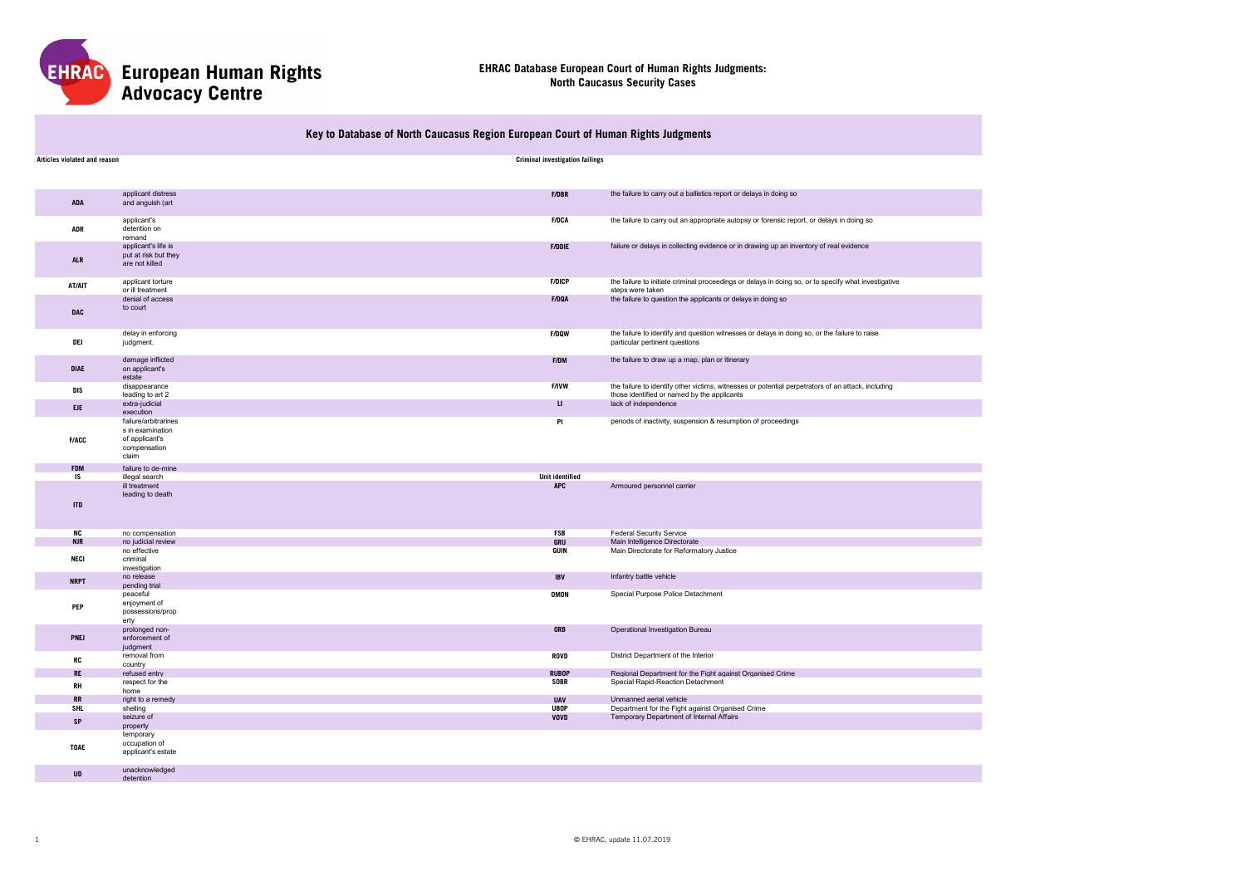

# **Key to Database of North Caucasus Region European Court of Human Rights Judgments**

| Articles violated and reason |                                                                                     | <b>Criminal investigation failings</b> |                                                                                                                                                   |
|------------------------------|-------------------------------------------------------------------------------------|----------------------------------------|---------------------------------------------------------------------------------------------------------------------------------------------------|
|                              |                                                                                     |                                        |                                                                                                                                                   |
|                              |                                                                                     |                                        |                                                                                                                                                   |
| <b>ADA</b>                   | applicant distress<br>and anguish (art                                              | <b>F/DBR</b>                           | the failure to carry out a ballistics report or delays in doing so                                                                                |
| <b>ADR</b>                   | applicant's<br>detention on<br>remand                                               | <b>F/DCA</b>                           | the failure to carry out an appropriate autopsy or forensic report, or delays in doing so                                                         |
| <b>ALR</b>                   | applicant's life is<br>put at risk but they<br>are not killed                       | <b>F/DDIE</b>                          | failure or delays in collecting evidence or in drawing up an inventory of real evidence                                                           |
| AT/AIT                       | applicant torture<br>or ill treatment                                               | <b>F/DICP</b>                          | the failure to initiate criminal proceedings or delays in doing so, or to specify what investigative<br>steps were taken                          |
| <b>DAC</b>                   | denial of access<br>to court                                                        | F/DQA                                  | the failure to question the applicants or delays in doing so                                                                                      |
| DEJ                          | delay in enforcing<br>judgment.                                                     | <b>F/DQW</b>                           | the failure to identify and question witnesses or delays in doing so, or the failure to raise<br>particular pertinent questions                   |
| <b>DIAE</b>                  | damage inflicted<br>on applicant's<br>estate                                        | F/DM                                   | the failure to draw up a map, plan or itinerary                                                                                                   |
| <b>DIS</b>                   | disappearance<br>leading to art 2                                                   | <b>F/IVW</b>                           | the failure to identify other victims, witnesses or potential perpetrators of an attack, including<br>those identified or named by the applicants |
| <b>EJE</b>                   | extra-judicial<br>execution                                                         | $\mathbf{U}$                           | lack of independence                                                                                                                              |
| <b>F/ACC</b>                 | failure/arbitrarines<br>s in examination<br>of applicant's<br>compensation<br>claim | PI                                     | periods of inactivity, suspension & resumption of proceedings                                                                                     |
| <b>FDM</b>                   | failure to de-mine                                                                  |                                        |                                                                                                                                                   |
| IS                           | illegal search                                                                      | <b>Unit identified</b>                 |                                                                                                                                                   |
| <b>ITD</b>                   | ill treatment<br>leading to death                                                   | <b>APC</b>                             | Armoured personnel carrier                                                                                                                        |
| <b>NC</b>                    | no compensation                                                                     | <b>FSB</b>                             | Federal Security Service                                                                                                                          |
| <b>NJR</b>                   | no judicial review                                                                  | GRU                                    | Main Intelligence Directorate                                                                                                                     |
| <b>NECI</b>                  | no effective<br>criminal<br>investigation                                           | <b>GUIN</b>                            | Main Directorate for Reformatory Justice                                                                                                          |
| <b>NRPT</b>                  | no release<br>pending trial                                                         | <b>IBV</b>                             | Infantry battle vehicle                                                                                                                           |
| PEP                          | peaceful<br>enjoyment of<br>possessions/prop<br>erty                                | <b>OMON</b>                            | Special Purpose Police Detachment                                                                                                                 |
| PNEJ                         | prolonged non-<br>enforcement of<br>judgment                                        | <b>ORB</b>                             | Operational Investigation Bureau                                                                                                                  |
| <b>RC</b>                    | removal from<br>country                                                             | <b>ROVD</b>                            | District Department of the Interior                                                                                                               |
| <b>RE</b>                    | refused entry                                                                       | <b>RUBOP</b>                           | Regional Department for the Fight against Organised Crime                                                                                         |
| <b>RH</b>                    | respect for the<br>home                                                             | <b>SOBR</b>                            | Special Rapid-Reaction Detachment                                                                                                                 |
| RR<br><b>SHL</b>             | right to a remedy<br>shelling                                                       | <b>UAV</b><br><b>UBOP</b>              | Unmanned aerial vehicle<br>Department for the Fight against Organised Crime                                                                       |
| SP                           | seizure of                                                                          | <b>VOVD</b>                            | Temporary Department of Internal Affairs                                                                                                          |
| <b>TOAE</b>                  | property<br>temporary<br>occupation of                                              |                                        |                                                                                                                                                   |
|                              | applicant's estate                                                                  |                                        |                                                                                                                                                   |
| <b>UD</b>                    | unacknowledged<br>detention                                                         |                                        |                                                                                                                                                   |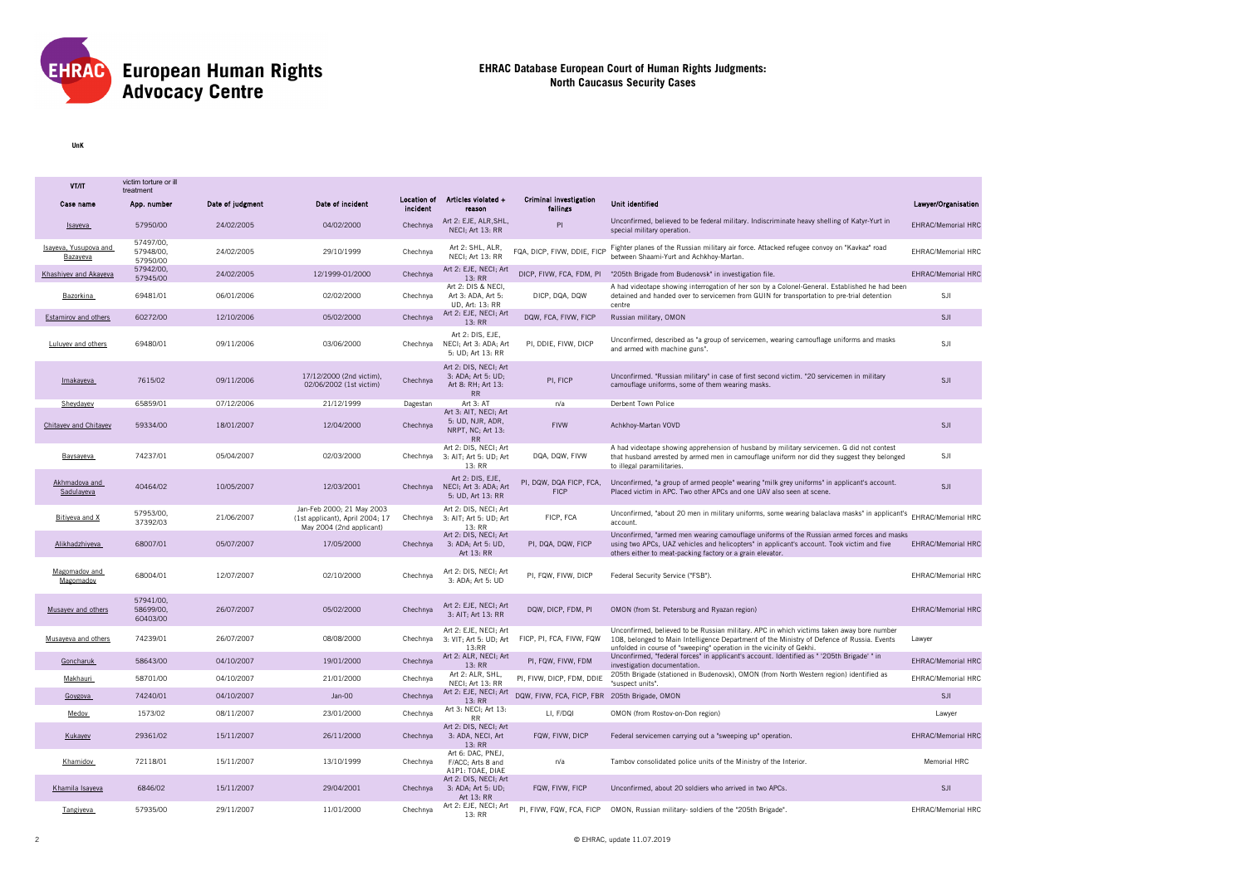

**UnK**

| VT/IT                             | victim torture or ill<br>treatment |                  |                                                                                          |                                |                                                                         |                                               |                                                                                                                                                                                                                                                                 |                           |
|-----------------------------------|------------------------------------|------------------|------------------------------------------------------------------------------------------|--------------------------------|-------------------------------------------------------------------------|-----------------------------------------------|-----------------------------------------------------------------------------------------------------------------------------------------------------------------------------------------------------------------------------------------------------------------|---------------------------|
| Case name                         | App. number                        | Date of judgment | Date of incident                                                                         | <b>Location of</b><br>incident | Articles violated +<br>reason                                           | <b>Criminal investigation</b><br>failings     | Unit identified                                                                                                                                                                                                                                                 | Lawyer/Organisation       |
| Isaveva                           | 57950/00                           | 24/02/2005       | 04/02/2000                                                                               | Chechnya                       | Art 2: EJE, ALR, SHL,<br>NECI; Art 13: RR                               | PI                                            | Unconfirmed, believed to be federal military. Indiscriminate heavy shelling of Katyr-Yurt in<br>special military operation.                                                                                                                                     | <b>EHRAC/Memorial HRC</b> |
| Isaveva, Yusupova and<br>Bazayeva | 57497/00.<br>57948/00.<br>57950/00 | 24/02/2005       | 29/10/1999                                                                               | Chechnya                       | Art 2: SHL, ALR,<br>NECI: Art 13: RR                                    | FQA, DICP, FIVW, DDIE, FICP                   | Fighter planes of the Russian military air force. Attacked refugee convoy on "Kavkaz" road<br>between Shaami-Yurt and Achkhov-Martan.                                                                                                                           | <b>EHRAC/Memorial HRC</b> |
| Khashiyev and Akayeva             | 57942/00,<br>57945/00              | 24/02/2005       | 12/1999-01/2000                                                                          | Chechnya                       | Art 2: EJE, NECI; Art<br>13: RR                                         |                                               | DICP, FIVW, FCA, FDM, PI '205th Brigade from Budenovsk' in investigation file.                                                                                                                                                                                  | <b>EHRAC/Memorial HRC</b> |
| Bazorkina                         | 69481/01                           | 06/01/2006       | 02/02/2000                                                                               | Chechnya                       | Art 2: DIS & NECI,<br>Art 3: ADA, Art 5:<br>UD, Art: 13: RR             | DICP, DQA, DQW                                | A had videotape showing interrogation of her son by a Colonel-General. Established he had been<br>detained and handed over to servicemen from GUIN for transportation to pre-trial detention<br>centre                                                          | SJI                       |
| <b>Estamirov and others</b>       | 60272/00                           | 12/10/2006       | 05/02/2000                                                                               | Chechnya                       | Art 2: EJE, NECI; Art<br>13:RR                                          | DQW, FCA, FIVW, FICP                          | Russian military, OMON                                                                                                                                                                                                                                          | SJI                       |
| Luluvev and others                | 69480/01                           | 09/11/2006       | 03/06/2000                                                                               | Chechnva                       | Art 2: DIS, EJE,<br>NECI; Art 3: ADA; Art<br>5: UD; Art 13: RR          | PI, DDIE, FIVW, DICP                          | Unconfirmed, described as "a group of servicemen, wearing camouflage uniforms and masks<br>and armed with machine guns".                                                                                                                                        | <b>SJI</b>                |
| Imakayeva                         | 7615/02                            | 09/11/2006       | 17/12/2000 (2nd victim),<br>02/06/2002 (1st victim)                                      | Chechnya                       | Art 2: DIS, NECI; Art<br>3: ADA; Art 5: UD;<br>Art 8: RH: Art 13:<br>RR | PI, FICP                                      | Unconfirmed. "Russian military" in case of first second victim. "20 servicemen in military<br>camouflage uniforms, some of them wearing masks.                                                                                                                  | <b>SJI</b>                |
| Sheydayev                         | 65859/01                           | 07/12/2006       | 21/12/1999                                                                               | Dagestan                       | Art 3: AT<br>Art 3: AIT, NECI; Art                                      | n/a                                           | Derbent Town Police                                                                                                                                                                                                                                             |                           |
| Chitayev and Chitayev             | 59334/00                           | 18/01/2007       | 12/04/2000                                                                               | Chechnya                       | 5: UD, NJR, ADR,<br>NRPT, NC; Art 13:<br>RR                             | <b>FIVW</b>                                   | Achkhoy-Martan VOVD                                                                                                                                                                                                                                             | <b>SJI</b>                |
| Baysayeva                         | 74237/01                           | 05/04/2007       | 02/03/2000                                                                               | Chechnya                       | Art 2: DIS, NECI; Art<br>3: AIT; Art 5: UD; Art<br>13: RR               | DQA, DQW, FIVW                                | A had videotape showing apprehension of husband by military servicemen. G did not contest<br>that husband arrested by armed men in camouflage uniform nor did they suggest they belonged<br>to illegal paramilitaries.                                          | SJI                       |
| Akhmadova and<br>Sadulayeva       | 40464/02                           | 10/05/2007       | 12/03/2001                                                                               | Chechnya                       | Art 2: DIS, EJE,<br>NECI; Art 3: ADA; Art<br>5: UD, Art 13: RR          | PI, DQW, DQA FICP, FCA,<br><b>FICP</b>        | Unconfirmed, "a group of armed people" wearing "milk grey uniforms" in applicant's account.<br>Placed victim in APC. Two other APCs and one UAV also seen at scene.                                                                                             | SJI                       |
| Bitiveva and X                    | 57953/00,<br>37392/03              | 21/06/2007       | Jan-Feb 2000; 21 May 2003<br>(1st applicant), April 2004; 17<br>May 2004 (2nd applicant) | Chechnya                       | Art 2: DIS, NECI; Art<br>3: AIT; Art 5: UD; Art<br>13: RR               | FICP, FCA                                     | Unconfirmed, "about 20 men in military uniforms, some wearing balaclava masks" in applicant's EHRAC/Memorial HRC<br>account.                                                                                                                                    |                           |
| Alikhadzhiyeva                    | 68007/01                           | 05/07/2007       | 17/05/2000                                                                               | Chechnya                       | Art 2: DIS, NECI; Art<br>3: ADA; Art 5: UD,<br>Art 13: RR               | PI, DQA, DQW, FICP                            | Unconfirmed, "armed men wearing camouflage uniforms of the Russian armed forces and masks<br>using two APCs, UAZ vehicles and helicopters" in applicant's account. Took victim and five<br>others either to meat-packing factory or a grain elevator.           | <b>EHRAC/Memorial HRC</b> |
| Magomadov and<br>Magomadov        | 68004/01                           | 12/07/2007       | 02/10/2000                                                                               | Chechnya                       | Art 2: DIS, NECI; Art<br>3: ADA; Art 5: UD                              | PI, FQW, FIVW, DICP                           | Federal Security Service ("FSB").                                                                                                                                                                                                                               | EHRAC/Memorial HRC        |
| Musayev and others                | 57941/00.<br>58699/00.<br>60403/00 | 26/07/2007       | 05/02/2000                                                                               | Chechnya                       | Art 2: EJE, NECI; Art<br>3: AIT; Art 13: RR                             | DQW, DICP, FDM, PI                            | OMON (from St. Petersburg and Ryazan region)                                                                                                                                                                                                                    | <b>EHRAC/Memorial HRC</b> |
| Musaveva and others               | 74239/01                           | 26/07/2007       | 08/08/2000                                                                               | Chechnya                       | Art 2: EJE, NECI; Art<br>3: VIT; Art 5: UD; Art<br>13:RR                | FICP. PI. FCA. FIVW. FQW                      | Unconfirmed, believed to be Russian military. APC in which victims taken away bore number<br>108, belonged to Main Intelligence Department of the Ministry of Defence of Russia. Events<br>unfolded in course of "sweeping" operation in the vicinity of Gekhi. | Lawyer                    |
| Goncharuk                         | 58643/00                           | 04/10/2007       | 19/01/2000                                                                               | Chechnya                       | Art 2: ALR, NECI; Art<br>13:RR                                          | PI, FQW, FIVW, FDM                            | Unconfirmed, "federal forces" in applicant's account. Identified as " '205th Brigade' " in<br>investigation documentation.                                                                                                                                      | <b>EHRAC/Memorial HRC</b> |
| Makhauri                          | 58701/00                           | 04/10/2007       | 21/01/2000                                                                               | Chechnya                       | Art 2: ALR, SHL,<br>NECI: Art 13: RR                                    | PI, FIVW, DICP, FDM, DDIE                     | 205th Brigade (stationed in Budenovsk), OMON (from North Western region) identified as<br>"suspect units".                                                                                                                                                      | EHRAC/Memorial HRC        |
| Govgova                           | 74240/01                           | 04/10/2007       | Jan-00                                                                                   | Chechnya                       | Art 2: EJE, NECI; Art<br>13:RR                                          | DQW, FIVW, FCA, FICP, FBR 205th Brigade, OMON |                                                                                                                                                                                                                                                                 | <b>SJI</b>                |
| Medov                             | 1573/02                            | 08/11/2007       | 23/01/2000                                                                               | Chechnva                       | Art 3: NECI; Art 13:<br><b>RR</b>                                       | LI. F/DQI                                     | OMON (from Rostov-on-Don region)                                                                                                                                                                                                                                | Lawyer                    |
| Kukayev                           | 29361/02                           | 15/11/2007       | 26/11/2000                                                                               | Chechnya                       | Art 2: DIS. NECI: Art<br>3: ADA, NECI, Art<br>13: RR                    | FQW, FIVW, DICP                               | Federal servicemen carrying out a "sweeping up" operation.                                                                                                                                                                                                      | <b>EHRAC/Memorial HRC</b> |
| Khamidov                          | 72118/01                           | 15/11/2007       | 13/10/1999                                                                               | Chechnya                       | Art 6: DAC, PNEJ,<br>F/ACC; Arts 8 and<br>A1P1: TOAE, DIAE              | n/a                                           | Tambov consolidated police units of the Ministry of the Interior.                                                                                                                                                                                               | Memorial HRC              |
| Khamila Isaveva                   | 6846/02                            | 15/11/2007       | 29/04/2001                                                                               | Chechnya                       | Art 2: DIS, NECI; Art<br>3: ADA; Art 5: UD;<br>Art 13: RR               | FQW, FIVW, FICP                               | Unconfirmed, about 20 soldiers who arrived in two APCs.                                                                                                                                                                                                         | <b>SJI</b>                |
| Tangiyeva                         | 57935/00                           | 29/11/2007       | 11/01/2000                                                                               | Chechnva                       | Art 2: EJE, NECI; Art<br>13: RR                                         | PI, FIVW, FQW, FCA, FICP                      | OMON, Russian military- soldiers of the "205th Brigade".                                                                                                                                                                                                        | <b>EHRAC/Memorial HRC</b> |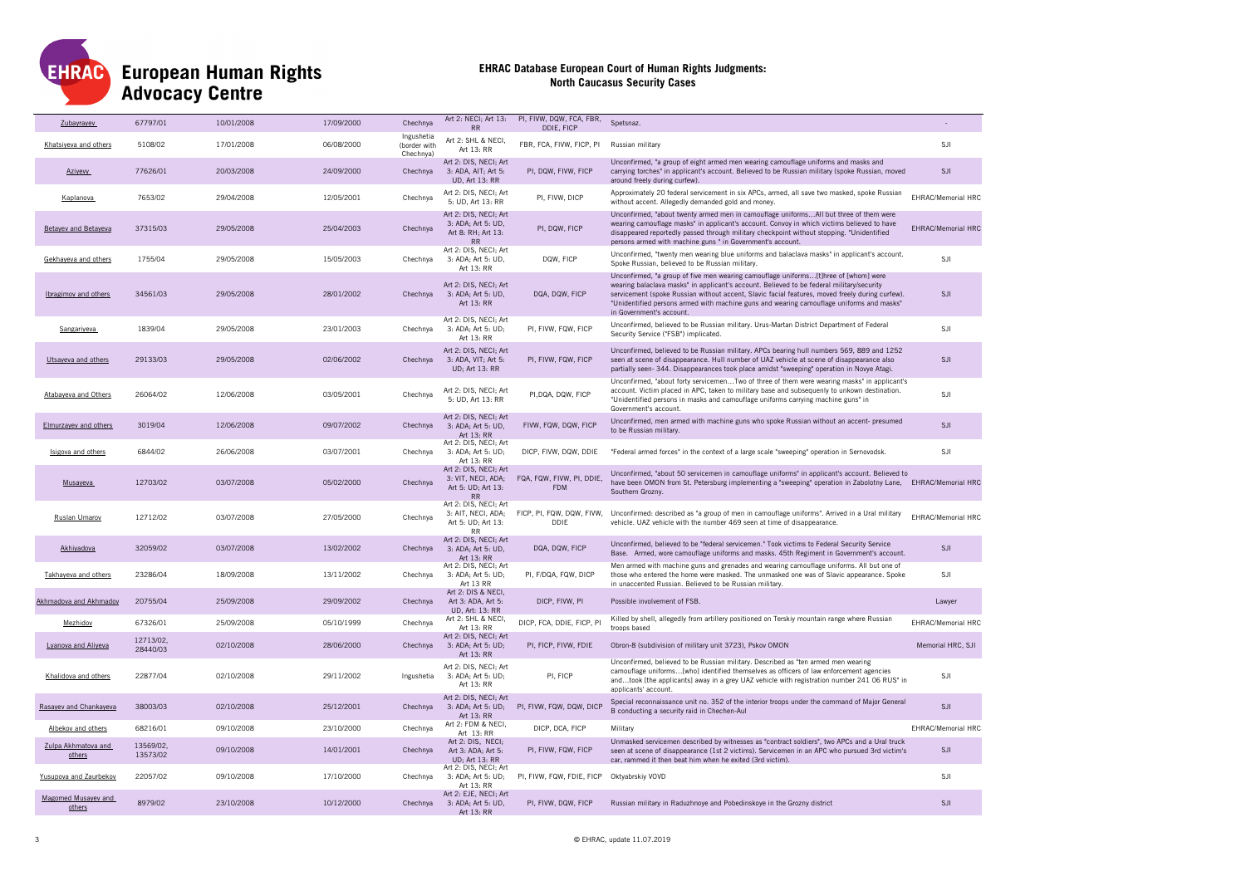

| Zubavravev                    | 67797/01              | 10/01/2008 | 17/09/2000 | Chechnya                                | Art 2: NECI; Art 13:<br><b>RR</b>                                              | PI, FIVW, DQW, FCA, FBR,<br>DDIE, FICP      | Spetsnaz.                                                                                                                                                                                                                                                                                                                                                                                                   | $\sim$                    |
|-------------------------------|-----------------------|------------|------------|-----------------------------------------|--------------------------------------------------------------------------------|---------------------------------------------|-------------------------------------------------------------------------------------------------------------------------------------------------------------------------------------------------------------------------------------------------------------------------------------------------------------------------------------------------------------------------------------------------------------|---------------------------|
| Khatsiyeva and others         | 5108/02               | 17/01/2008 | 06/08/2000 | Ingushetia<br>(border with<br>Chechnya) | Art 2: SHL & NECI,<br>Art 13: RR                                               | FBR, FCA, FIVW, FICP, PI                    | Russian military                                                                                                                                                                                                                                                                                                                                                                                            | SJI                       |
| <b>Aziyevy</b>                | 77626/01              | 20/03/2008 | 24/09/2000 | Chechnya                                | Art 2: DIS, NECI; Art<br>3: ADA, AIT; Art 5:<br><b>UD.</b> Art 13: RR          | PI, DQW, FIVW, FICP                         | Unconfirmed, "a group of eight armed men wearing camouflage uniforms and masks and<br>carrying torches" in applicant's account. Believed to be Russian military (spoke Russian, moved<br>around freely during curfew).                                                                                                                                                                                      | <b>SJI</b>                |
| Kaplanova                     | 7653/02               | 29/04/2008 | 12/05/2001 | Chechnya                                | Art 2: DIS, NECI; Art<br>5: UD, Art 13: RR                                     | PI, FIVW, DICP                              | Approximately 20 federal servicement in six APCs, armed, all save two masked, spoke Russian<br>without accent. Allegedly demanded gold and money.                                                                                                                                                                                                                                                           | EHRAC/Memorial HRC        |
| <b>Betayev and Betayeva</b>   | 37315/03              | 29/05/2008 | 25/04/2003 | Chechnya                                | Art 2: DIS, NECI; Art<br>3: ADA; Art 5: UD,<br>Art 8: RH; Art 13:<br><b>RR</b> | PI, DQW, FICP                               | Unconfirmed, "about twenty armed men in camouflage uniformsAll but three of them were<br>wearing camouflage masks" in applicant's account. Convoy in which victims believed to have<br>disappeared reportedly passed through military checkpoint without stopping. "Unidentified<br>persons armed with machine guns " in Government's account.                                                              | <b>EHRAC/Memorial HRC</b> |
| Gekhayeva and others          | 1755/04               | 29/05/2008 | 15/05/2003 | Chechnya                                | Art 2: DIS, NECI; Art<br>3: ADA; Art 5: UD,<br>Art 13: RR                      | DQW, FICP                                   | Unconfirmed, "twenty men wearing blue uniforms and balaclava masks" in applicant's account.<br>Spoke Russian, believed to be Russian military                                                                                                                                                                                                                                                               | SJI                       |
| Ibragimov and others          | 34561/03              | 29/05/2008 | 28/01/2002 | Chechnya                                | Art 2: DIS, NECI; Art<br>3: ADA; Art 5: UD,<br>Art 13: RR                      | DQA, DQW, FICP                              | Unconfirmed, "a group of five men wearing camouflage uniforms[t]hree of [whom] were<br>wearing balaclava masks" in applicant's account. Believed to be federal military/security<br>servicement (spoke Russian without accent, Slavic facial features, moved freely during curfew).<br>"Unidentified persons armed with machine guns and wearing camouflage uniforms and masks"<br>in Government's account. | <b>SJI</b>                |
| Sangariyeva                   | 1839/04               | 29/05/2008 | 23/01/2003 | Chechnya                                | Art 2: DIS, NECI; Art<br>3: ADA; Art 5: UD;<br>Art 13: RR                      | PI, FIVW, FQW, FICP                         | Unconfirmed, believed to be Russian military. Urus-Martan District Department of Federal<br>Security Service ("FSB") implicated.                                                                                                                                                                                                                                                                            | SJI                       |
| Utsayeva and others           | 29133/03              | 29/05/2008 | 02/06/2002 | Chechnya                                | Art 2: DIS, NECI; Art<br>3: ADA, VIT; Art 5:<br><b>UD: Art 13: RR</b>          | PI, FIVW, FQW, FICP                         | Unconfirmed, believed to be Russian military. APCs bearing hull numbers 569, 889 and 1252<br>seen at scene of disappearance. Hull number of UAZ vehicle at scene of disappearance also<br>partially seen-344. Disappearances took place amidst "sweeping" operation in Novye Atagi.                                                                                                                         | <b>SJI</b>                |
| Atabaveva and Others          | 26064/02              | 12/06/2008 | 03/05/2001 | Chechnya                                | Art 2: DIS, NECI; Art<br>5: UD, Art 13: RR                                     | PI, DQA, DQW, FICP                          | Unconfirmed, "about forty servicemenTwo of three of them were wearing masks" in applicant's<br>account. Victim placed in APC, taken to military base and subsequenly to unkown destination.<br>"Unidentified persons in masks and camouflage uniforms carrying machine guns" in<br>Government's account.                                                                                                    | SJI                       |
| Elmurzayev and others         | 3019/04               | 12/06/2008 | 09/07/2002 | Chechnya                                | Art 2: DIS, NECI; Art<br>3: ADA; Art 5: UD,<br>Art 13: RR                      | FIVW, FQW, DQW, FICP                        | Unconfirmed, men armed with machine guns who spoke Russian without an accent- presumed<br>to be Russian military.                                                                                                                                                                                                                                                                                           | <b>SJI</b>                |
| Isigova and others            | 6844/02               | 26/06/2008 | 03/07/2001 | Chechnya                                | Art 2: DIS, NECI; Art<br>3: ADA; Art 5: UD;<br>Art 13: RR                      | DICP, FIVW, DQW, DDIE                       | "Federal armed forces" in the context of a large scale "sweeping" operation in Sernovodsk.                                                                                                                                                                                                                                                                                                                  | SJI                       |
| Musayeva                      | 12703/02              | 03/07/2008 | 05/02/2000 | Chechnya                                | Art 2: DIS, NECI; Art<br>3: VIT, NECI, ADA;<br>Art 5: UD; Art 13:<br><b>RR</b> | FQA, FQW, FIVW, PI, DDIE,<br><b>FDM</b>     | Unconfirmed, "about 50 servicemen in camouflage uniforms" in applicant's account. Believed to<br>have been OMON from St. Petersburg implementing a "sweeping" operation in Zabolotny Lane, EHRAC/Memorial HRC<br>Southern Grozny.                                                                                                                                                                           |                           |
| Ruslan Umarov                 | 12712/02              | 03/07/2008 | 27/05/2000 | Chechnya                                | Art 2: DIS, NECI; Art<br>3: AIT, NECI, ADA;<br>Art 5: UD; Art 13:<br><b>RR</b> | FICP, PI, FQW, DQW, FIVW,<br>DDIE           | Unconfirmed: described as "a group of men in camouflage uniforms". Arrived in a Ural military<br>vehicle. UAZ vehicle with the number 469 seen at time of disappearance.                                                                                                                                                                                                                                    | EHRAC/Memorial HRC        |
| Akhiyadova                    | 32059/02              | 03/07/2008 | 13/02/2002 | Chechnya                                | Art 2: DIS, NECI; Art<br>3: ADA; Art 5: UD,<br>Art 13: RR                      | DQA, DQW, FICP                              | Unconfirmed, believed to be "federal servicemen." Took victims to Federal Security Service<br>Base. Armed, wore camouflage uniforms and masks. 45th Regiment in Government's account.                                                                                                                                                                                                                       | SJI                       |
| Takhayeva and others          | 23286/04              | 18/09/2008 | 13/11/2002 | Chechnya                                | Art 2: DIS, NECI; Art<br>3: ADA; Art 5: UD;<br>Art 13 RR                       | PI, F/DQA, FQW, DICP                        | Men armed with machine guns and grenades and wearing camouflage uniforms. All but one of<br>those who entered the home were masked. The unmasked one was of Slavic appearance. Spoke<br>in unaccented Russian. Believed to be Russian military.                                                                                                                                                             | SJI                       |
| Akhmadova and Akhmadov        | 20755/04              | 25/09/2008 | 29/09/2002 | Chechnya                                | Art 2: DIS & NECI,<br>Art 3: ADA, Art 5:<br><b>UD. Art: 13: RR</b>             | DICP, FIVW, PI                              | Possible involvement of FSB.                                                                                                                                                                                                                                                                                                                                                                                | Lawyer                    |
| Mezhidov                      | 67326/01              | 25/09/2008 | 05/10/1999 | Chechnya                                | Art 2: SHL & NECI,<br>Art 13: RR                                               | DICP, FCA, DDIE, FICP, PI                   | Killed by shell, allegedly from artillery positioned on Terskiy mountain range where Russian<br>troops based                                                                                                                                                                                                                                                                                                | EHRAC/Memorial HRC        |
| Lyanova and Aliyeva           | 12713/02.<br>28440/03 | 02/10/2008 | 28/06/2000 | Chechnya                                | Art 2: DIS, NECI; Art<br>3: ADA; Art 5: UD;<br>Art 13: RR                      | PI, FICP, FIVW, FDIE                        | Obron-8 (subdivision of military unit 3723), Pskov OMON                                                                                                                                                                                                                                                                                                                                                     | Memorial HRC, SJI         |
| Khalidova and others          | 22877/04              | 02/10/2008 | 29/11/2002 | Ingushetia                              | Art 2: DIS, NECI; Art<br>3: ADA; Art 5: UD;<br>Art 1.3: RR                     | PI, FICP                                    | Unconfirmed, believed to be Russian military. Described as "ten armed men wearing<br>camouflage uniforms[who] identified themselves as officers of law enforcement agencies<br>andtook [the applicants] away in a grey UAZ vehicle with registration number 241 06 RUS" in<br>applicants' account.                                                                                                          | SJI                       |
| Rasayev and Chankayeva        | 38003/03              | 02/10/2008 | 25/12/2001 | Chechnya                                | Art 2: DIS, NECI; Art<br>Art 13: RR                                            | 3: ADA; Art 5: UD; PI, FIVW, FQW, DQW, DICP | Special reconnaissance unit no. 352 of the interior troops under the command of Major General<br>B conducting a security raid in Chechen-Aul                                                                                                                                                                                                                                                                | <b>SJI</b>                |
| Albekov and others            | 68216/01              | 09/10/2008 | 23/10/2000 | Chechnya                                | Art 2: FDM & NECI,<br>Art 13: RR                                               | DICP, DCA, FICP                             | Military                                                                                                                                                                                                                                                                                                                                                                                                    | EHRAC/Memorial HRC        |
| Zulpa Akhmatova and<br>others | 13569/02.<br>13573/02 | 09/10/2008 | 14/01/2001 | Chechnya                                | Art 2: DIS, NECI;<br>Art 3: ADA; Art 5:<br><b>UD</b> ; Art 13: RR              | PI, FIVW, FQW, FICP                         | Unmasked servicemen described by witnesses as "contract soldiers", two APCs and a Ural truck<br>seen at scene of disappearance (1st 2 victims). Servicemen in an APC who pursued 3rd victim's<br>car, rammed it then beat him when he exited (3rd victim).                                                                                                                                                  | SJI                       |
| Yusupova and Zaurbekov        | 22057/02              | 09/10/2008 | 17/10/2000 | Chechnva                                | Art 2: DIS, NECI; Art<br>3: ADA; Art 5: UD;<br>Art 13: RR                      | PI, FIVW, FQW, FDIE, FICP Oktyabrskiy VOVD  |                                                                                                                                                                                                                                                                                                                                                                                                             | SJI                       |
| Magomed Musayev and<br>others | 8979/02               | 23/10/2008 | 10/12/2000 | Chechnya                                | Art 2: F.IF. NFCI: Art<br>3: ADA; Art 5: UD,<br>Art 13: RR                     | PI, FIVW, DQW, FICP                         | Russian military in Raduzhnoye and Pobedinskoye in the Grozny district                                                                                                                                                                                                                                                                                                                                      | <b>SJI</b>                |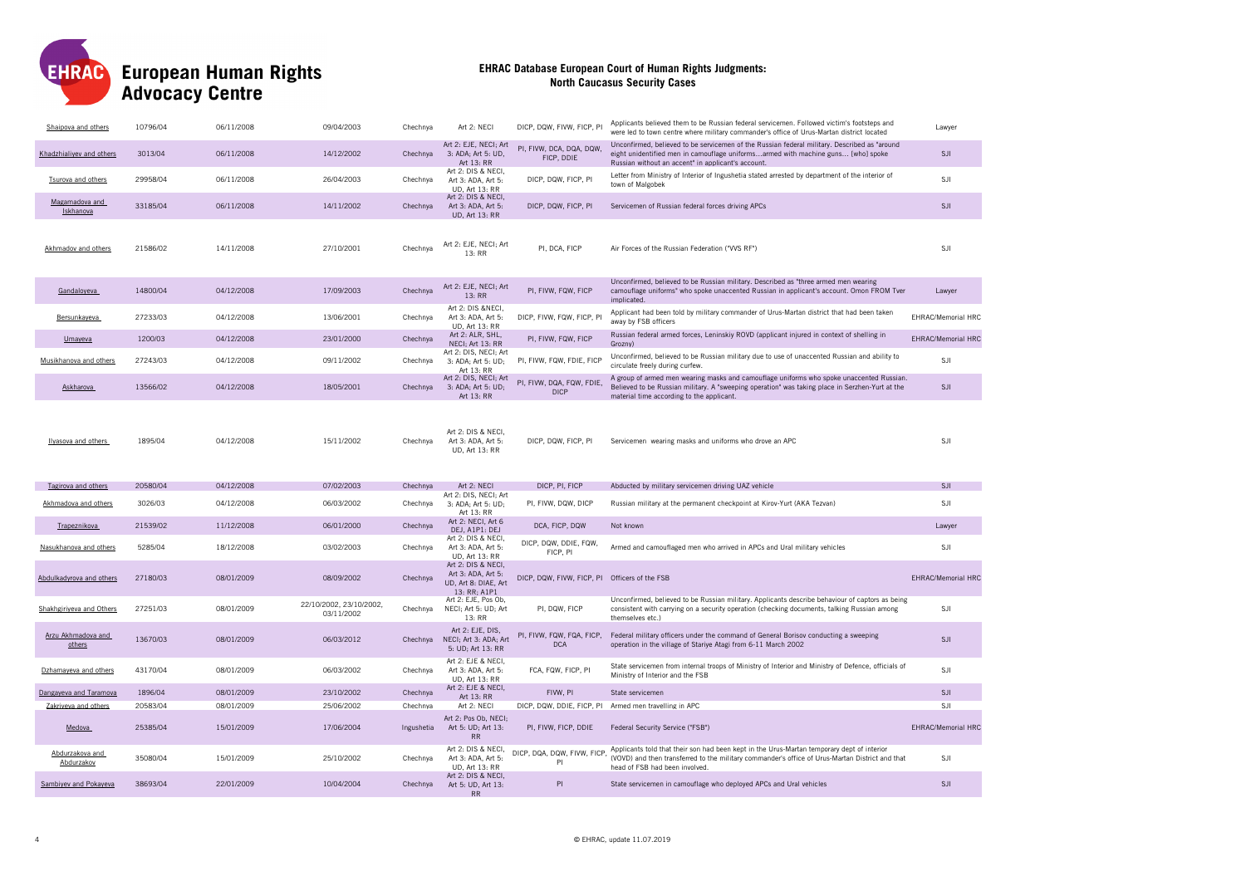

| Shaipova and others           | 10796/04 | 06/11/2008 | 09/04/2003                            | Chechnya   | Art 2: NECI                                                                             | DICP, DQW, FIVW, FICP, PI                     | Applicants believed them to be Russian federal servicemen. Followed victim's footsteps and<br>were led to town centre where military commander's office of Urus-Martan district located                                                  | Lawver                    |
|-------------------------------|----------|------------|---------------------------------------|------------|-----------------------------------------------------------------------------------------|-----------------------------------------------|------------------------------------------------------------------------------------------------------------------------------------------------------------------------------------------------------------------------------------------|---------------------------|
| Khadzhialivev and others      | 3013/04  | 06/11/2008 | 14/12/2002                            | Chechnya   | Art 2: EJE, NECI; Art<br>3: ADA; Art 5: UD,<br>Art 13: RR                               | PI, FIVW, DCA, DQA, DQW,<br>FICP, DDIE        | Unconfirmed, believed to be servicemen of the Russian federal military. Described as "around<br>eight unidentified men in camouflage uniformsarmed with machine guns [who] spoke<br>Russian without an accent" in applicant's account.   | <b>SJI</b>                |
| Tsurova and others            | 29958/04 | 06/11/2008 | 26/04/2003                            | Chechnya   | Art 2: DIS & NECI,<br>Art 3: ADA, Art 5:<br>UD, Art 13: RR                              | DICP, DQW, FICP, PI                           | Letter from Ministry of Interior of Ingushetia stated arrested by department of the interior of<br>town of Malgobek                                                                                                                      | SJI                       |
| Magamadova and<br>Iskhanova   | 33185/04 | 06/11/2008 | 14/11/2002                            | Chechnya   | Art 2: DIS & NECI,<br>Art 3: ADA, Art 5:<br><b>UD, Art 13: RR</b>                       | DICP, DQW, FICP, PI                           | Servicemen of Russian federal forces driving APCs                                                                                                                                                                                        | SJI                       |
| Akhmadov and others           | 21586/02 | 14/11/2008 | 27/10/2001                            | Chechnya   | Art 2: EJE, NECI; Art<br>13: RR                                                         | PI, DCA, FICP                                 | Air Forces of the Russian Federation ("VVS RF")                                                                                                                                                                                          | SJI                       |
| Gandaloyeva                   | 14800/04 | 04/12/2008 | 17/09/2003                            | Chechnya   | Art 2: EJE, NECI; Art<br>13: RR                                                         | PI, FIVW, FQW, FICP                           | Unconfirmed, believed to be Russian military. Described as "three armed men wearing<br>camouflage uniforms" who spoke unaccented Russian in applicant's account. Omon FROM Tver<br>implicated.                                           | Lawyer                    |
| Bersunkayeva                  | 27233/03 | 04/12/2008 | 13/06/2001                            | Chechnya   | Art 2: DIS &NECI,<br>Art 3: ADA, Art 5:<br><b>UD. Art 13: RR</b>                        | DICP, FIVW, FQW, FICP, PI                     | Applicant had been told by military commander of Urus-Martan district that had been taken<br>away by FSB officers                                                                                                                        | EHRAC/Memorial HRC        |
| Umayeva                       | 1200/03  | 04/12/2008 | 23/01/2000                            | Chechnya   | Art 2: ALR, SHL,<br>NECI; Art 13: RR                                                    | PI, FIVW, FQW, FICP                           | Russian federal armed forces, Leninskiy ROVD (applicant injured in context of shelling in<br>Grozny)                                                                                                                                     | <b>EHRAC/Memorial HRC</b> |
| Musikhanova and others        | 27243/03 | 04/12/2008 | 09/11/2002                            | Chechnya   | Art 2: DIS, NECI; Art<br>3: ADA; Art 5: UD;<br>Art 13: RR                               | PI, FIVW, FQW, FDIE, FICP                     | Unconfirmed, believed to be Russian military due to use of unaccented Russian and ability to<br>circulate freely during curfew.                                                                                                          | SJI                       |
| Askharova                     | 13566/02 | 04/12/2008 | 18/05/2001                            | Chechnya   | Art 2: DIS, NECI; Art<br>3: ADA; Art 5: UD;<br>Art 13: RR                               | PI, FIVW, DQA, FQW, FDIE,<br><b>DICP</b>      | A group of armed men wearing masks and camouflage uniforms who spoke unaccented Russian.<br>Believed to be Russian military. A "sweeping operation" was taking place in Serzhen-Yurt at the<br>material time according to the applicant. | <b>SJI</b>                |
| Ilyasova and others           | 1895/04  | 04/12/2008 | 15/11/2002                            | Chechnya   | Art 2: DIS & NECI,<br>Art 3: ADA, Art 5:<br><b>UD, Art 13: RR</b>                       | DICP, DQW, FICP, PI                           | Servicemen wearing masks and uniforms who drove an APC                                                                                                                                                                                   | SJI                       |
|                               |          |            |                                       |            |                                                                                         |                                               |                                                                                                                                                                                                                                          |                           |
| Tagirova and others           | 20580/04 | 04/12/2008 | 07/02/2003                            | Chechnya   | Art 2: NECI                                                                             | DICP, PI, FICP                                | Abducted by military servicemen driving UAZ vehicle                                                                                                                                                                                      | SJI                       |
| Akhmadova and others          | 3026/03  | 04/12/2008 | 06/03/2002                            | Chechnya   | Art 2: DIS, NECI; Art<br>3: ADA; Art 5: UD;<br>Art 13: RR                               | PI, FIVW, DQW, DICP                           | Russian military at the permanent checkpoint at Kirov-Yurt (AKA Tezvan)                                                                                                                                                                  | SJI                       |
| Trapeznikova                  | 21539/02 | 11/12/2008 | 06/01/2000                            | Chechnya   | Art 2: NECI, Art 6<br>DEJ, A1P1: DEJ                                                    | DCA, FICP, DQW                                | Not known                                                                                                                                                                                                                                | Lawver                    |
| Nasukhanova and others        | 5285/04  | 18/12/2008 | 03/02/2003                            | Chechnya   | Art 2: DIS & NECI,<br>Art 3: ADA, Art 5:<br>UD, Art 13: RR                              | DICP, DQW, DDIE, FQW,<br>FICP, PI             | Armed and camouflaged men who arrived in APCs and Ural military vehicles                                                                                                                                                                 | SJI                       |
| Abdulkadyrova and others      | 27180/03 | 08/01/2009 | 08/09/2002                            | Chechnya   | Art 2: DIS & NECI,<br>Art 3: ADA, Art 5:<br>UD, Art 8: DIAE, Art<br>13: RR; A1P1        | DICP, DQW, FIVW, FICP, PI Officers of the FSB |                                                                                                                                                                                                                                          | <b>EHRAC/Memorial HRC</b> |
| Shakhgiriveva and Others      | 27251/03 | 08/01/2009 | 22/10/2002, 23/10/2002,<br>03/11/2002 | Chechnya   | Art 2: EJE, Pos Ob,<br>NECI; Art 5: UD; Art<br>13: RR                                   | PI, DQW, FICP                                 | Unconfirmed, believed to be Russian military. Applicants describe behaviour of captors as being<br>consistent with carrying on a security operation (checking documents, talking Russian among<br>themselves etc.)                       | SJI                       |
| Arzu Akhmadova and<br>others  | 13670/03 | 08/01/2009 | 06/03/2012                            | Chechnya   | Art 2: EJE, DIS,<br>NECI; Art 3: ADA; Art<br>5: UD; Art 13: RR                          | <b>DCA</b>                                    | PI, FIVW, FQW, FQA, FICP, Federal military officers under the command of General Borisov conducting a sweeping<br>operation in the village of Stariye Atagi from 6-11 March 2002                                                         | <b>SJI</b>                |
| Dzhamaveva and others         | 43170/04 | 08/01/2009 | 06/03/2002                            | Chechnya   | Art 2: EJE & NECI.<br>Art 3: ADA, Art 5:<br><b>UD, Art 13: RR</b>                       | FCA, FQW, FICP, PI                            | State servicemen from internal troops of Ministry of Interior and Ministry of Defence, officials of<br>Ministry of Interior and the FSB                                                                                                  | SJI                       |
| Dangayeva and Taramova        | 1896/04  | 08/01/2009 | 23/10/2002                            | Chechnya   | Art 2: EJE & NECI,                                                                      | FIVW, PI                                      | State servicemen                                                                                                                                                                                                                         | <b>SJI</b>                |
| Zakriyeva and others          | 20583/04 | 08/01/2009 | 25/06/2002                            | Chechnya   | Art 13: RR<br>Art 2: NECI                                                               |                                               | DICP, DQW, DDIE, FICP, PI Armed men travelling in APC                                                                                                                                                                                    | SJI                       |
| Medova                        | 25385/04 | 15/01/2009 | 17/06/2004                            | Ingushetia | Art 2: Pos Ob. NECI:<br>Art 5: UD; Art 13:<br>RR                                        | PI, FIVW, FICP, DDIE                          | Federal Security Service ("FSB")                                                                                                                                                                                                         | <b>EHRAC/Memorial HRC</b> |
| Abdurzakova and<br>Abdurzakov | 35080/04 | 15/01/2009 | 25/10/2002                            | Chechnya   | Art 2: DIS & NECI,<br>Art 3: ADA, Art 5:<br><b>UD, Art 13: RR</b><br>Art 2: DIS & NECI, | DICP, DQA, DQW, FIVW, FICP,<br>PI             | Applicants told that their son had been kept in the Urus-Martan temporary dept of interior<br>(VOVD) and then transferred to the military commander's office of Urus-Martan District and that<br>head of FSB had been involved           | SJI                       |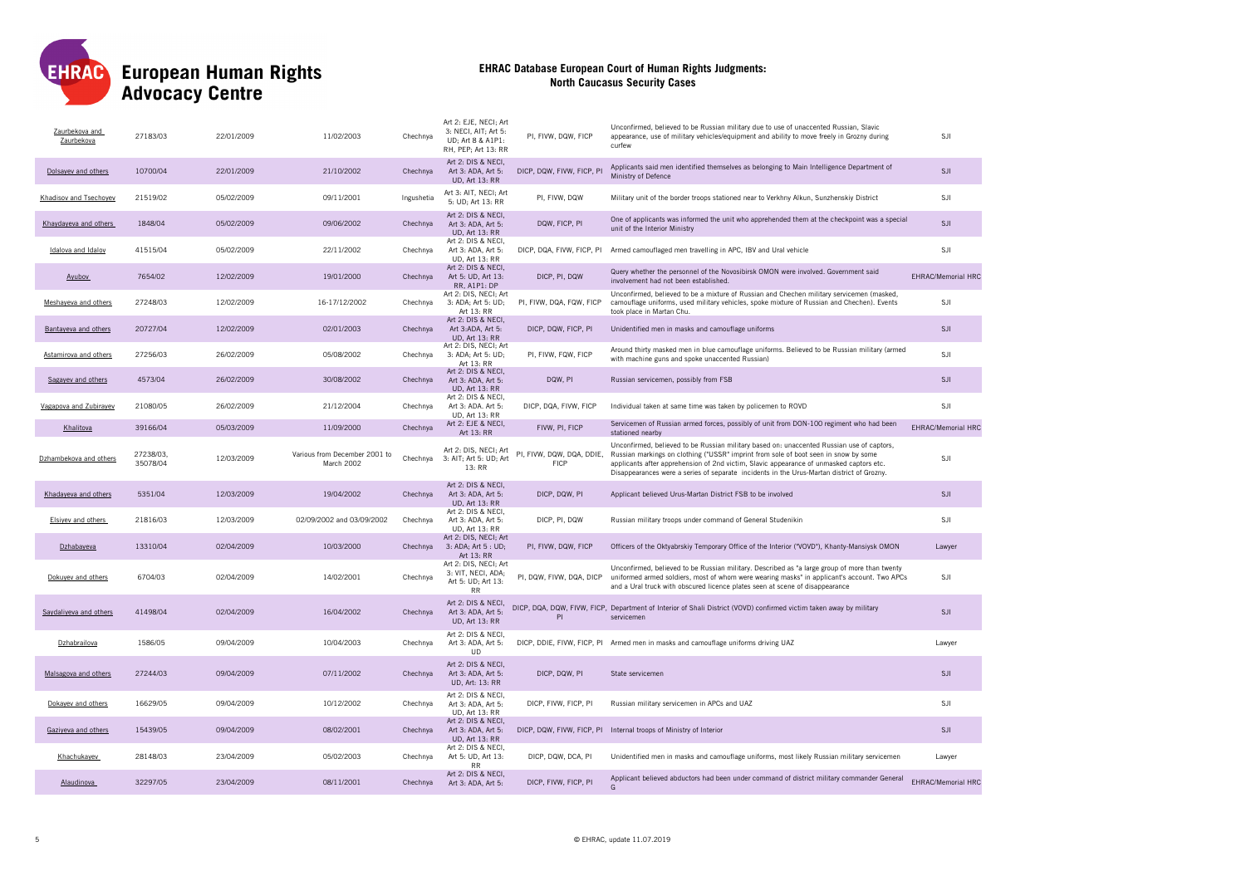

| Zaurbekova and<br>Zaurbekova | 27183/03              | 22/01/2009 | 11/02/2003                                  | Chechnya   | Art 2: EJE, NECI; Art<br>3: NECI, AIT; Art 5:<br>UD: Art 8 & A1P1:<br>RH, PEP; Art 13: RR | PI, FIVW, DQW, FICP                      | Unconfirmed, believed to be Russian military due to use of unaccented Russian, Slavic<br>appearance, use of military vehicles/equipment and ability to move freely in Grozny during<br>curfew                                                                                                                                                                            | SJI                       |
|------------------------------|-----------------------|------------|---------------------------------------------|------------|-------------------------------------------------------------------------------------------|------------------------------------------|--------------------------------------------------------------------------------------------------------------------------------------------------------------------------------------------------------------------------------------------------------------------------------------------------------------------------------------------------------------------------|---------------------------|
| Dolsavev and others          | 10700/04              | 22/01/2009 | 21/10/2002                                  | Chechnya   | Art 2: DIS & NECI,<br>Art 3: ADA, Art 5:<br><b>UD, Art 13: RR</b>                         | DICP, DQW, FIVW, FICP, PI                | Applicants said men identified themselves as belonging to Main Intelligence Department of<br>Ministry of Defence                                                                                                                                                                                                                                                         | <b>SJI</b>                |
| Khadisov and Tsechoyev       | 21519/02              | 05/02/2009 | 09/11/2001                                  | Ingushetia | Art 3: AIT, NECI; Art<br>5: UD; Art 13: RR                                                | PI, FIVW, DQW                            | Military unit of the border troops stationed near to Verkhny Alkun, Sunzhenskiy District                                                                                                                                                                                                                                                                                 | SJI                       |
| Khaydayeva and others        | 1848/04               | 05/02/2009 | 09/06/2002                                  | Chechnya   | Art 2: DIS & NECI,<br>Art 3: ADA, Art 5:<br><b>UD, Art 13: RR</b>                         | DQW, FICP, PI                            | One of applicants was informed the unit who apprehended them at the checkpoint was a special<br>unit of the Interior Ministry                                                                                                                                                                                                                                            | <b>SJI</b>                |
| Idalova and Idalov           | 41515/04              | 05/02/2009 | 22/11/2002                                  | Chechnya   | Art 2: DIS & NECI,<br>Art 3: ADA, Art 5:<br><b>UD, Art 13: RR</b>                         |                                          | DICP, DQA, FIVW, FICP, PI Armed camouflaged men travelling in APC, IBV and Ural vehicle                                                                                                                                                                                                                                                                                  | SJI                       |
| Ayubov                       | 7654/02               | 12/02/2009 | 19/01/2000                                  | Chechnya   | Art 2: DIS & NECI,<br>Art 5: UD, Art 13:<br>RR, A1P1: DP                                  | DICP, PI, DQW                            | Query whether the personnel of the Novosibirsk OMON were involved. Government said<br>involvement had not been established.                                                                                                                                                                                                                                              | <b>EHRAC/Memorial HRC</b> |
| Meshayeva and others         | 27248/03              | 12/02/2009 | 16-17/12/2002                               | Chechnya   | Art 2: DIS, NECI; Art<br>3: ADA; Art 5: UD;<br>Art 13: RR                                 | PI, FIVW, DQA, FQW, FICP                 | Unconfirmed, believed to be a mixture of Russian and Chechen military servicemen (masked,<br>camouflage uniforms, used military vehicles, spoke mixture of Russian and Chechen). Events<br>took place in Martan Chu.                                                                                                                                                     | SJI                       |
| Bantayeva and others         | 20727/04              | 12/02/2009 | 02/01/2003                                  | Chechnya   | Art 2: DIS & NECI,<br>Art 3:ADA, Art 5:<br><b>UD. Art 13: RR</b>                          | DICP, DQW, FICP, PI                      | Unidentified men in masks and camouflage uniforms                                                                                                                                                                                                                                                                                                                        | SJI                       |
| Astamirova and others        | 27256/03              | 26/02/2009 | 05/08/2002                                  | Chechnya   | Art 2: DIS, NECI; Art<br>3: ADA; Art 5: UD;<br>Art 13: RR                                 | PI, FIVW, FQW, FICP                      | Around thirty masked men in blue camouflage uniforms. Believed to be Russian military (armed<br>with machine guns and spoke unaccented Russian)                                                                                                                                                                                                                          | <b>SJI</b>                |
| Sagayev and others           | 4573/04               | 26/02/2009 | 30/08/2002                                  | Chechnya   | Art 2: DIS & NECI,<br>Art 3: ADA, Art 5:<br><b>UD, Art 13: RR</b>                         | DQW, PI                                  | Russian servicemen, possibly from FSB                                                                                                                                                                                                                                                                                                                                    | <b>SJI</b>                |
| Vagapova and Zubirayev       | 21080/05              | 26/02/2009 | 21/12/2004                                  | Chechnya   | Art 2: DIS & NECI,<br>Art 3: ADA. Art 5:<br>UD, Art 13: RR                                | DICP, DQA, FIVW, FICP                    | Individual taken at same time was taken by policemen to ROVD                                                                                                                                                                                                                                                                                                             | SJI                       |
| Khalitova                    | 39166/04              | 05/03/2009 | 11/09/2000                                  | Chechnya   | Art 2: EJE & NECI,<br>Art 13: RR                                                          | FIVW, PI, FICP                           | Servicemen of Russian armed forces, possibly of unit from DON-100 regiment who had been<br>stationed nearby                                                                                                                                                                                                                                                              | <b>EHRAC/Memorial HRC</b> |
| Dzhambekova and others       | 27238/03,<br>35078/04 | 12/03/2009 | Various from December 2001 to<br>March 2002 | Chechnya   | Art 2: DIS, NECI; Art<br>3: AIT; Art 5: UD; Art<br>13: RR                                 | PI, FIVW, DQW, DQA, DDIE,<br><b>FICP</b> | Unconfirmed, believed to be Russian military based on: unaccented Russian use of captors,<br>Russian markings on clothing ("USSR" imprint from sole of boot seen in snow by some<br>applicants after apprehension of 2nd victim, Slavic appearance of unmasked captors etc.<br>Disappearances were a series of separate incidents in the Urus-Martan district of Grozny. | <b>SJI</b>                |
| Khadayeva and others         | 5351/04               | 12/03/2009 | 19/04/2002                                  | Chechnya   | Art 2: DIS & NECI,<br>Art 3: ADA, Art 5:<br><b>UD, Art 13: RR</b>                         | DICP, DQW, PI                            | Applicant believed Urus-Martan District FSB to be involved                                                                                                                                                                                                                                                                                                               | <b>SJI</b>                |
| Elsivey and others           | 21816/03              | 12/03/2009 | 02/09/2002 and 03/09/2002                   | Chechnya   | Art 2: DIS & NECI,<br>Art 3: ADA, Art 5:<br><b>UD, Art 13: RR</b>                         | DICP, PI, DQW                            | Russian military troops under command of General Studenikin                                                                                                                                                                                                                                                                                                              | SJI                       |
| Dzhabayeva                   | 13310/04              | 02/04/2009 | 10/03/2000                                  | Chechnya   | Art 2: DIS, NECI; Art<br>3: ADA; Art 5 : UD;<br>Art 13: RR                                | PI, FIVW, DQW, FICP                      | Officers of the Oktyabrskiy Temporary Office of the Interior ("VOVD"), Khanty-Mansiysk OMON                                                                                                                                                                                                                                                                              | Lawyer                    |
| Dokuyev and others           | 6704/03               | 02/04/2009 | 14/02/2001                                  | Chechnva   | Art 2: DIS, NECI; Art<br>3: VIT, NECI, ADA;<br>Art 5: UD; Art 13:<br><b>RR</b>            | PI, DQW, FIVW, DQA, DICP                 | Unconfirmed, believed to be Russian military. Described as "a large group of more than twenty<br>uniformed armed soldiers, most of whom were wearing masks" in applicant's account. Two APCs<br>and a Ural truck with obscured licence plates seen at scene of disappearance                                                                                             | SJI                       |
| Saydaliyeva and others       | 41498/04              | 02/04/2009 | 16/04/2002                                  | Chechnya   | Art 2: DIS & NECI,<br>Art 3: ADA, Art 5:<br><b>UD, Art 13: RR</b>                         | PI                                       | DICP, DQA, DQW, FIVW, FICP, Department of Interior of Shali District (VOVD) confirmed victim taken away by military<br>servicemen                                                                                                                                                                                                                                        | SJI                       |
| Dzhabrailova                 | 1586/05               | 09/04/2009 | 10/04/2003                                  | Chechnya   | Art 2: DIS & NECI,<br>Art 3: ADA, Art 5:<br><b>UD</b>                                     |                                          | DICP, DDIE, FIVW, FICP, PI Armed men in masks and camouflage uniforms driving UAZ                                                                                                                                                                                                                                                                                        | Lawyer                    |
| Malsagova and others         | 27244/03              | 09/04/2009 | 07/11/2002                                  | Chechnya   | Art 2: DIS & NECI.<br>Art 3: ADA, Art 5:<br>UD, Art: 13: RR                               | DICP, DQW, PI                            | State servicemen                                                                                                                                                                                                                                                                                                                                                         | <b>SJI</b>                |
| Dokavev and others           | 16629/05              | 09/04/2009 | 10/12/2002                                  | Chechnya   | Art 2: DIS & NECI,<br>Art 3: ADA, Art 5:<br>UD, Art 13: RR                                | DICP, FIVW, FICP, PI                     | Russian military servicemen in APCs and UAZ                                                                                                                                                                                                                                                                                                                              | SJI                       |
| Gaziyeva and others          | 15439/05              | 09/04/2009 | 08/02/2001                                  | Chechnya   | Art 2: DIS & NECI,<br>Art 3: ADA, Art 5:<br><b>UD. Art 13: RR</b>                         |                                          | DICP, DQW, FIVW, FICP, PI Internal troops of Ministry of Interior                                                                                                                                                                                                                                                                                                        | SJI                       |
| Khachukayev                  | 28148/03              | 23/04/2009 | 05/02/2003                                  | Chechnya   | Art 2: DIS & NECI,<br>Art 5: UD, Art 13:<br><b>RR</b>                                     | DICP, DQW, DCA, PI                       | Unidentified men in masks and camouflage uniforms, most likely Russian military servicemen                                                                                                                                                                                                                                                                               | Lawver                    |
| Alaudinova                   | 32297/05              | 23/04/2009 | 08/11/2001                                  | Chechnya   | Art 2: DIS & NECI,<br>Art 3: ADA, Art 5:                                                  | DICP, FIVW, FICP, PI                     | Applicant believed abductors had been under command of district military commander General                                                                                                                                                                                                                                                                               | <b>EHRAC/Memorial HRC</b> |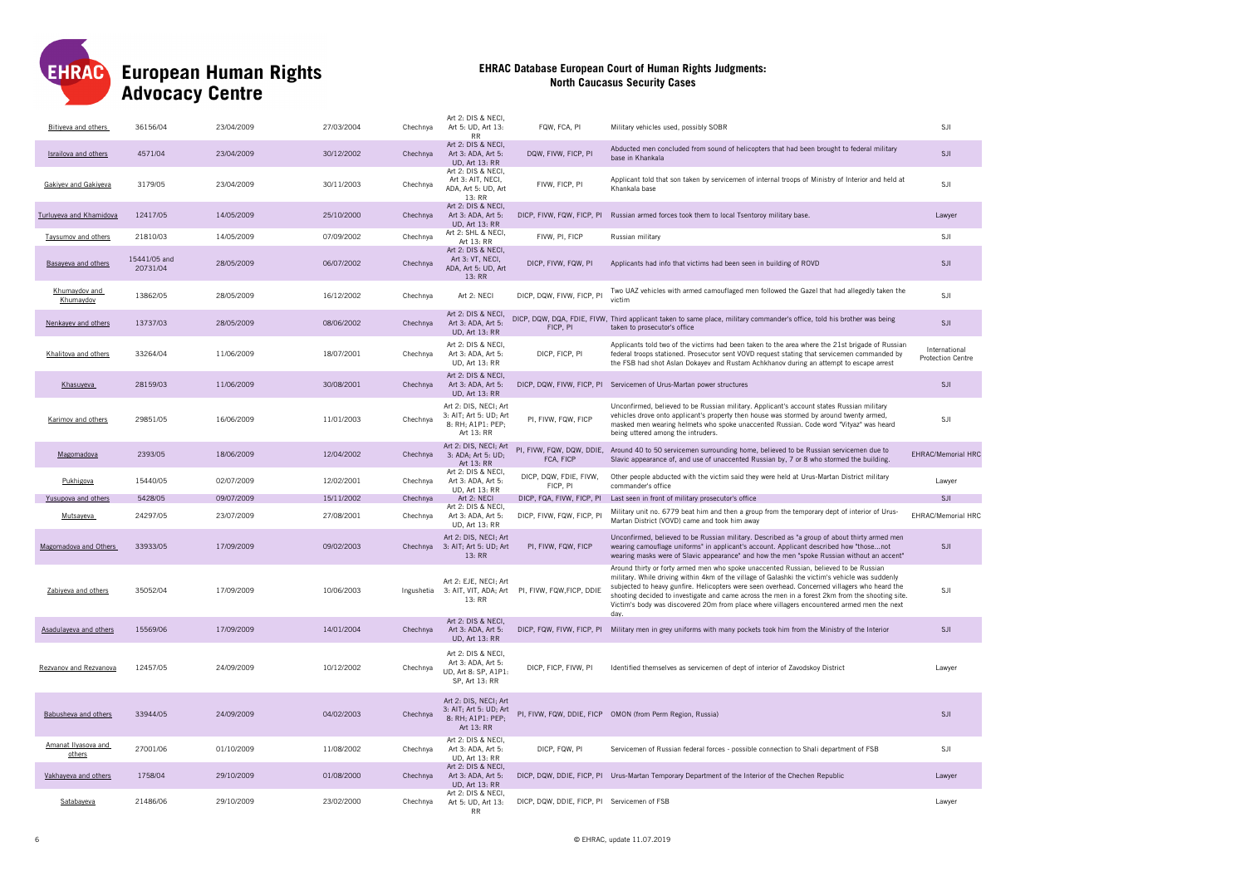

| Bitiveva and others           | 36156/04                 | 23/04/2009 | 27/03/2004 | Chechnya   | Art 2: DIS & NECI,<br>Art 5: UD, Art 13:<br><b>RR</b>                              | FQW, FCA, PI                                | Military vehicles used, possibly SOBR                                                                                                                                                                                                                                                                                                                                                                                                                                                             | SJI                                       |
|-------------------------------|--------------------------|------------|------------|------------|------------------------------------------------------------------------------------|---------------------------------------------|---------------------------------------------------------------------------------------------------------------------------------------------------------------------------------------------------------------------------------------------------------------------------------------------------------------------------------------------------------------------------------------------------------------------------------------------------------------------------------------------------|-------------------------------------------|
| Israilova and others          | 4571/04                  | 23/04/2009 | 30/12/2002 | Chechnya   | Art 2: DIS & NECI,<br>Art 3: ADA, Art 5:<br><b>UD.</b> Art 13: RR                  | DQW. FIVW. FICP. PI                         | Abducted men concluded from sound of helicopters that had been brought to federal military<br>base in Khankala                                                                                                                                                                                                                                                                                                                                                                                    | <b>SJI</b>                                |
| Gakiyev and Gakiyeva          | 3179/05                  | 23/04/2009 | 30/11/2003 | Chechnya   | Art 2: DIS & NECI,<br>Art 3: AIT, NECI,<br>ADA, Art 5: UD, Art<br>13: RR           | FIVW, FICP, PI                              | Applicant told that son taken by servicemen of internal troops of Ministry of Interior and held at<br>Khankala base                                                                                                                                                                                                                                                                                                                                                                               | SJI                                       |
| Turluyeva and Khamidova       | 12417/05                 | 14/05/2009 | 25/10/2000 | Chechnya   | Art 2: DIS & NECI,<br>Art 3: ADA, Art 5:<br><b>UD, Art 13: RR</b>                  |                                             | DICP, FIVW, FQW, FICP, PI Russian armed forces took them to local Tsentoroy military base.                                                                                                                                                                                                                                                                                                                                                                                                        | Lawyer                                    |
| Taysumov and others           | 21810/03                 | 14/05/2009 | 07/09/2002 | Chechnya   | Art 2: SHL & NECI,<br>Art 13: RR                                                   | FIVW, PI, FICP                              | Russian military                                                                                                                                                                                                                                                                                                                                                                                                                                                                                  | SJI                                       |
| Basayeva and others           | 15441/05 and<br>20731/04 | 28/05/2009 | 06/07/2002 | Chechnya   | Art 2: DIS & NECI,<br>Art 3: VT, NECI,<br>ADA, Art 5: UD, Art<br>13: RR            | DICP, FIVW, FQW, PI                         | Applicants had info that victims had been seen in building of ROVD                                                                                                                                                                                                                                                                                                                                                                                                                                | SJI                                       |
| Khumaydov and<br>Khumavdov    | 13862/05                 | 28/05/2009 | 16/12/2002 | Chechnya   | Art 2: NECI                                                                        | DICP, DQW, FIVW, FICP, PI                   | Two UAZ vehicles with armed camouflaged men followed the Gazel that had allegedly taken the<br>victim                                                                                                                                                                                                                                                                                                                                                                                             | SJI                                       |
| Nenkayev and others           | 13737/03                 | 28/05/2009 | 08/06/2002 | Chechnya   | Art 2: DIS & NECI,<br>Art 3: ADA, Art 5:<br><b>UD, Art 13: RR</b>                  | FICP, PI                                    | DICP, DQW, DQA, FDIE, FIVW, Third applicant taken to same place, military commander's office, told his brother was being<br>taken to prosecutor's office                                                                                                                                                                                                                                                                                                                                          | <b>SJI</b>                                |
| Khalitova and others          | 33264/04                 | 11/06/2009 | 18/07/2001 | Chechnya   | Art 2: DIS & NECI,<br>Art 3: ADA, Art 5:<br>UD, Art 13: RR                         | DICP, FICP, PI                              | Applicants told two of the victims had been taken to the area where the 21st brigade of Russian<br>federal troops stationed. Prosecutor sent VOVD request stating that servicemen commanded by<br>the FSB had shot Aslan Dokayev and Rustam Achkhanov during an attempt to escape arrest                                                                                                                                                                                                          | International<br><b>Protection Centre</b> |
| Khasuveva                     | 28159/03                 | 11/06/2009 | 30/08/2001 | Chechnya   | Art 2: DIS & NECI.<br>Art 3: ADA, Art 5:<br><b>UD, Art 13: RR</b>                  |                                             | DICP, DQW, FIVW, FICP, PI Servicemen of Urus-Martan power structures                                                                                                                                                                                                                                                                                                                                                                                                                              | SJI                                       |
| Karimov and others            | 29851/05                 | 16/06/2009 | 11/01/2003 | Chechnya   | Art 2: DIS, NECI; Art<br>3: AIT; Art 5: UD; Art<br>8: RH; A1P1: PEP;<br>Art 13: RR | PI, FIVW, FQW, FICP                         | Unconfirmed, believed to be Russian military. Applicant's account states Russian military<br>vehicles drove onto applicant's property then house was stormed by around twenty armed,<br>masked men wearing helmets who spoke unaccented Russian. Code word "Vityaz" was heard<br>being uttered among the intruders.                                                                                                                                                                               | <b>SJI</b>                                |
| Magomadova                    | 2393/05                  | 18/06/2009 | 12/04/2002 | Chechnya   | Art 2: DIS, NECI; Art<br>3: ADA; Art 5: UD;<br>Art 13: RR                          | FCA, FICP                                   | PI, FIVW, FQW, DQW, DDIE, Around 40 to 50 servicemen surrounding home, believed to be Russian servicemen due to<br>Slavic appearance of, and use of unaccented Russian by, 7 or 8 who stormed the building.                                                                                                                                                                                                                                                                                       | <b>EHRAC/Memorial HRC</b>                 |
| Pukhigova                     | 15440/05                 | 02/07/2009 | 12/02/2001 | Chechnya   | Art 2: DIS & NECI,<br>Art 3: ADA, Art 5:<br><b>UD.</b> Art 13: RR                  | DICP, DQW, FDIE, FIVW,<br>FICP. PI          | Other people abducted with the victim said they were held at Urus-Martan District military<br>commander's office                                                                                                                                                                                                                                                                                                                                                                                  | Lawyer                                    |
| Yusupova and others           | 5428/05                  | 09/07/2009 | 15/11/2002 | Chechnya   | Art 2: NECI<br>Art 2: DIS & NECI,                                                  | DICP, FQA, FIVW, FICP, PI                   | Last seen in front of military prosecutor's office                                                                                                                                                                                                                                                                                                                                                                                                                                                | SJI                                       |
| Mutsayeva                     | 24297/05                 | 23/07/2009 | 27/08/2001 | Chechnya   | Art 3: ADA, Art 5:<br>UD, Art 13: RR                                               | DICP, FIVW, FQW, FICP, PI                   | Military unit no. 6779 beat him and then a group from the temporary dept of interior of Urus-<br>Martan District (VOVD) came and took him away                                                                                                                                                                                                                                                                                                                                                    | EHRAC/Memorial HRO                        |
| Magomadova and Others         | 33933/05                 | 17/09/2009 | 09/02/2003 | Chechnya   | Art 2: DIS, NECI; Art<br>3: AIT; Art 5: UD; Art<br>13:RR                           | PI, FIVW, FQW, FICP                         | Unconfirmed, believed to be Russian military. Described as "a group of about thirty armed men<br>wearing camouflage uniforms" in applicant's account. Applicant described how "thosenot<br>wearing masks were of Slavic appearance" and how the men "spoke Russian without an accent"                                                                                                                                                                                                             | SJI                                       |
| Zabiyeva and others           | 35052/04                 | 17/09/2009 | 10/06/2003 | Ingushetia | Art 2: EJE, NECI; Art<br>3: AIT, VIT, ADA; Art<br>13: RR                           | PI, FIVW, FQW, FICP, DDIE                   | Around thirty or forty armed men who spoke unaccented Russian, believed to be Russian<br>military. While driving within 4km of the village of Galashki the victim's vehicle was suddenly<br>subjected to heavy gunfire. Helicopters were seen overhead. Concerned villagers who heard the<br>shooting decided to investigate and came across the men in a forest 2km from the shooting site.<br>Victim's body was discovered 20m from place where villagers encountered armed men the next<br>dav | SJI                                       |
| Asadulaveva and others        | 15569/06                 | 17/09/2009 | 14/01/2004 | Chechnya   | Art 2: DIS & NECI.<br>Art 3: ADA, Art 5:<br><b>UD, Art 13: RR</b>                  |                                             | DICP, FQW, FIVW, FICP, PI Military men in grey uniforms with many pockets took him from the Ministry of the Interior                                                                                                                                                                                                                                                                                                                                                                              | <b>SJI</b>                                |
| Rezvanov and Rezvanova        | 12457/05                 | 24/09/2009 | 10/12/2002 | Chechnya   | Art 2: DIS & NECI.<br>Art 3: ADA, Art 5:<br>UD, Art 8: SP, A1P1:<br>SP, Art 13: RR | DICP, FICP, FIVW, PI                        | Identified themselves as servicemen of dept of interior of Zavodskoy District                                                                                                                                                                                                                                                                                                                                                                                                                     | Lawver                                    |
| Babusheva and others          | 33944/05                 | 24/09/2009 | 04/02/2003 | Chechnya   | Art 2: DIS, NECI; Art<br>3: AIT; Art 5: UD; Art<br>8: RH: A1P1: PEP:<br>Art 13: RR |                                             | PI, FIVW, FQW, DDIE, FICP OMON (from Perm Region, Russia)                                                                                                                                                                                                                                                                                                                                                                                                                                         | SJI                                       |
| Amanat Ilyasova and<br>others | 27001/06                 | 01/10/2009 | 11/08/2002 | Chechnya   | Art 2: DIS & NECI,<br>Art 3: ADA, Art 5:<br><b>UD, Art 13: RR</b>                  | DICP, FQW, PI                               | Servicemen of Russian federal forces - possible connection to Shali department of FSB                                                                                                                                                                                                                                                                                                                                                                                                             | SJI                                       |
| Vakhayeva and others          | 1758/04                  | 29/10/2009 | 01/08/2000 | Chechnya   | Art 2: DIS & NECI,<br>Art 3: ADA, Art 5:<br><b>UD, Art 13: RR</b>                  |                                             | DICP, DQW, DDIE, FICP, PI Urus-Martan Temporary Department of the Interior of the Chechen Republic                                                                                                                                                                                                                                                                                                                                                                                                | Lawyer                                    |
| Satabayeva                    | 21486/06                 | 29/10/2009 | 23/02/2000 | Chechnya   | Art 2: DIS & NECI,<br>Art 5: UD, Art 13:<br>RR                                     | DICP, DQW, DDIE, FICP, PI Servicemen of FSB |                                                                                                                                                                                                                                                                                                                                                                                                                                                                                                   | Lawyer                                    |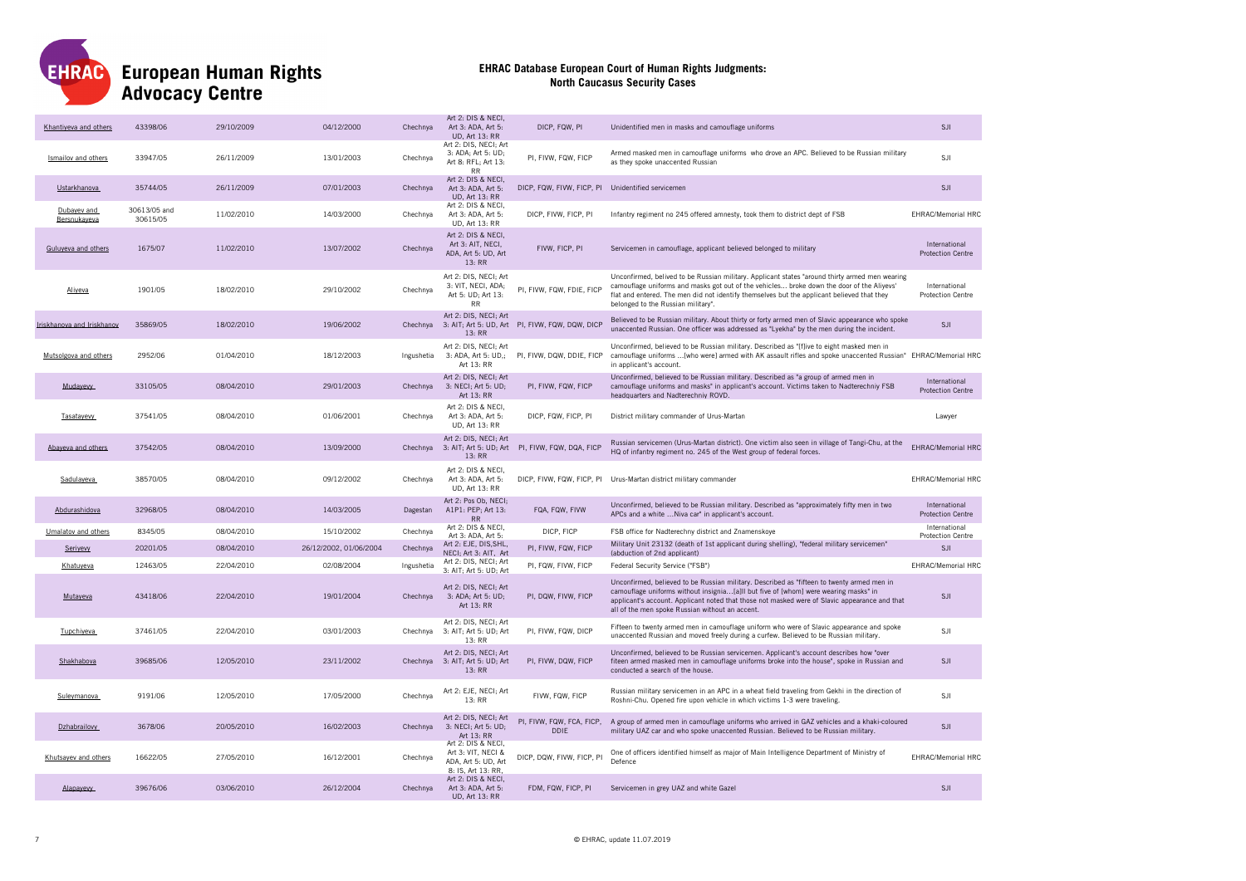

| Khantiyeva and others       | 43398/06                 | 29/10/2009 | 04/12/2000             | Chechnya   | Art 2: DIS & NECI<br>Art 3: ADA, Art 5:<br><b>UD, Art 13: RR</b>                      | DICP, FQW, PI                                     | Unidentified men in masks and camouflage uniforms                                                                                                                                                                                                                                                                                     | SJI                                       |
|-----------------------------|--------------------------|------------|------------------------|------------|---------------------------------------------------------------------------------------|---------------------------------------------------|---------------------------------------------------------------------------------------------------------------------------------------------------------------------------------------------------------------------------------------------------------------------------------------------------------------------------------------|-------------------------------------------|
| Ismailov and others         | 33947/05                 | 26/11/2009 | 13/01/2003             | Chechnya   | Art 2: DIS, NECI; Art<br>3: ADA; Art 5: UD;<br>Art 8: RFL; Art 13:<br><b>RR</b>       | PI, FIVW, FQW, FICP                               | Armed masked men in camouflage uniforms who drove an APC. Believed to be Russian military<br>as they spoke unaccented Russian                                                                                                                                                                                                         | SJI                                       |
| Ustarkhanova                | 35744/05                 | 26/11/2009 | 07/01/2003             | Chechnya   | Art 2: DIS & NECI,<br>Art 3: ADA, Art 5:<br><b>UD, Art 13: RR</b>                     | DICP, FQW, FIVW, FICP, PI Unidentified servicemen |                                                                                                                                                                                                                                                                                                                                       | SJI                                       |
| Dubayev and<br>Bersnukayeva | 30613/05 and<br>30615/05 | 11/02/2010 | 14/03/2000             | Chechnva   | Art 2: DIS & NECI<br>Art 3: ADA, Art 5:<br>UD, Art 13: RR                             | DICP, FIVW, FICP, PI                              | Infantry regiment no 245 offered amnesty, took them to district dept of FSB                                                                                                                                                                                                                                                           | <b>EHRAC/Memorial HRC</b>                 |
| Guluyeva and others         | 1675/07                  | 11/02/2010 | 13/07/2002             | Chechnya   | Art 2: DIS & NECI,<br>Art 3: AIT, NECI,<br>ADA, Art 5: UD, Art<br>13: RR              | FIVW, FICP, PI                                    | Servicemen in camouflage, applicant believed belonged to military                                                                                                                                                                                                                                                                     | International<br><b>Protection Centre</b> |
| Aliyeva                     | 1901/05                  | 18/02/2010 | 29/10/2002             | Chechnya   | Art 2: DIS, NECI; Art<br>3: VIT, NECI, ADA;<br>Art 5: UD; Art 13:<br><b>RR</b>        | PI, FIVW, FQW, FDIE, FICP                         | Unconfirmed, belived to be Russian military. Applicant states "around thirty armed men wearing<br>camouflage uniforms and masks got out of the vehicles broke down the door of the Aliyevs'<br>flat and entered. The men did not identify themselves but the applicant believed that they<br>belonged to the Russian military".       | International<br><b>Protection Centre</b> |
| Iriskhanova and Iriskhanov  | 35869/05                 | 18/02/2010 | 19/06/2002             | Chechnya   | Art 2: DIS, NECI; Art<br>13: RR                                                       | 3: AIT; Art 5: UD, Art PI, FIVW, FQW, DQW, DICP   | Believed to be Russian military. About thirty or forty armed men of Slavic appearance who spoke<br>unaccented Russian. One officer was addressed as "Lyekha" by the men during the incident.                                                                                                                                          | SJI                                       |
| Mutsolgova and others       | 2952/06                  | 01/04/2010 | 18/12/2003             | Ingushetia | Art 2: DIS, NECI; Art<br>3: ADA, Art 5: UD,;<br>Art 13: RR                            | PI, FIVW, DQW, DDIE, FICP                         | Unconfirmed, believed to be Russian military. Described as "[f]ive to eight masked men in<br>camouflage uniforms [who were] armed with AK assault rifles and spoke unaccented Russian" EHRAC/Memorial HRC<br>in applicant's account.                                                                                                  |                                           |
| Mudayevy                    | 33105/05                 | 08/04/2010 | 29/01/2003             | Chechnya   | Art 2: DIS, NECI: Art<br>3: NECI; Art 5: UD;<br>Art 13: RR                            | PI, FIVW, FQW, FICP                               | Unconfirmed, believed to be Russian military. Described as "a group of armed men in<br>camouflage uniforms and masks" in applicant's account. Victims taken to Nadterechniy FSB<br>headquarters and Nadterechniy ROVD.                                                                                                                | International<br><b>Protection Centre</b> |
| Tasatayevy                  | 37541/05                 | 08/04/2010 | 01/06/2001             | Chechnya   | Art 2: DIS & NECI,<br>Art 3: ADA, Art 5:<br>UD, Art 13: RR                            | DICP, FQW, FICP, PI                               | District military commander of Urus-Martan                                                                                                                                                                                                                                                                                            | Lawyer                                    |
| Abaveva and others          | 37542/05                 | 08/04/2010 | 13/09/2000             | Chechnya   | Art 2: DIS, NECI; Art<br>13: RR                                                       | 3: AIT; Art 5: UD; Art PI, FIVW, FQW, DQA, FICP   | Russian servicemen (Urus-Martan district). One victim also seen in village of Tangi-Chu, at the<br>HQ of infantry regiment no. 245 of the West group of federal forces.                                                                                                                                                               | <b>EHRAC/Memorial HRC</b>                 |
| Sadulayeva                  | 38570/05                 | 08/04/2010 | 09/12/2002             | Chechnya   | Art 2: DIS & NECI<br>Art 3: ADA, Art 5:<br><b>UD, Art 13: RR</b>                      |                                                   | DICP, FIVW, FQW, FICP, PI Urus-Martan district military commander                                                                                                                                                                                                                                                                     | EHRAC/Memorial HRC                        |
| Abdurashidova               | 32968/05                 | 08/04/2010 | 14/03/2005             | Dagestan   | Art 2: Pos Ob, NECI;<br>A1P1: PEP; Art 13:<br><b>RR</b>                               | FQA, FQW, FIVW                                    | Unconfirmed, believed to be Russian military. Described as "approximately fifty men in two<br>APCs and a white  Niva car' in applicant's account.                                                                                                                                                                                     | International<br><b>Protection Centre</b> |
| Umalatov and others         | 8345/05                  | 08/04/2010 | 15/10/2002             | Chechnya   | Art 2: DIS & NECI<br>Art 3: ADA, Art 5:                                               | DICP, FICP                                        | FSB office for Nadterechny district and Znamenskoye                                                                                                                                                                                                                                                                                   | International<br><b>Protection Centre</b> |
| Seriyevy                    | 20201/05                 | 08/04/2010 | 26/12/2002, 01/06/2004 | Chechnya   | Art 2: EJE, DIS, SHL,<br>NECI; Art 3: AIT, Art                                        | PI, FIVW, FQW, FICP                               | Military Unit 23132 (death of 1st applicant during shelling), "federal military servicemen"<br>(abduction of 2nd applicant)                                                                                                                                                                                                           | SJI                                       |
| Khatuyeva                   | 12463/05                 | 22/04/2010 | 02/08/2004             | Ingushetia | Art 2: DIS, NECI; Art<br>3: AIT; Art 5: UD; Art                                       | PI, FQW, FIVW, FICP                               | Federal Security Service ("FSB")                                                                                                                                                                                                                                                                                                      | EHRAC/Memorial HRC                        |
| Mutayeva                    | 43418/06                 | 22/04/2010 | 19/01/2004             | Chechnya   | Art 2: DIS, NECI; Art<br>3: ADA; Art 5: UD;<br>Art 13: RR                             | PI, DQW, FIVW, FICP                               | Unconfirmed, believed to be Russian military. Described as "fifteen to twenty armed men in<br>camouflage uniforms without insignia[a]II but five of [whom] were wearing masks" in<br>applicant's account. Applicant noted that those not masked were of Slavic appearance and that<br>all of the men spoke Russian without an accent. | SJI                                       |
| Tupchiyeva.                 | 37461/05                 | 22/04/2010 | 03/01/2003             | Chechnya   | Art 2: DIS, NECI; Art<br>3: AIT; Art 5: UD; Art<br>13: RR                             | PI, FIVW, FQW, DICP                               | Fifteen to twenty armed men in camouflage uniform who were of Slavic appearance and spoke<br>unaccented Russian and moved freely during a curfew. Believed to be Russian military.                                                                                                                                                    | SJI                                       |
| Shakhabova                  | 39685/06                 | 12/05/2010 | 23/11/2002             | Chechnya   | Art 2: DIS, NECI; Art<br>3: AIT; Art 5: UD; Art<br>13: RR                             | PI, FIVW, DQW, FICP                               | Unconfirmed, believed to be Russian servicemen. Applicant's account describes how "over<br>fiteen armed masked men in camouflage uniforms broke into the house", spoke in Russian and<br>conducted a search of the house.                                                                                                             | <b>SJI</b>                                |
| Suleymanova                 | 9191/06                  | 12/05/2010 | 17/05/2000             | Chechnva   | Art 2: EJE, NECI; Art<br>13: RR                                                       | FIVW, FQW, FICP                                   | Russian military servicemen in an APC in a wheat field traveling from Gekhi in the direction of<br>Roshni-Chu. Opened fire upon vehicle in which victims 1-3 were traveling.                                                                                                                                                          | SJI                                       |
| Dzhabrailovy                | 3678/06                  | 20/05/2010 | 16/02/2003             | Chechnya   | Art 2: DIS, NECI; Art<br>3: NECI; Art 5: UD;<br>Art 13: RR                            | PI, FIVW, FQW, FCA, FICP,<br><b>DDIE</b>          | A group of armed men in camouflage uniforms who arrived in GAZ vehicles and a khaki-coloured<br>military UAZ car and who spoke unaccented Russian. Believed to be Russian military.                                                                                                                                                   | SJI                                       |
| Khutsavev and others        | 16622/05                 | 27/05/2010 | 16/12/2001             | Chechnya   | Art 2: DIS & NECI,<br>Art 3: VIT, NECI &<br>ADA, Art 5: UD, Art<br>8: IS. Art 13: RR. | DICP, DQW, FIVW, FICP, PI                         | One of officers identified himself as major of Main Intelligence Department of Ministry of<br>Defence                                                                                                                                                                                                                                 | <b>EHRAC/Memorial HRC</b>                 |
| Alapayevy                   | 39676/06                 | 03/06/2010 | 26/12/2004             | Chechnya   | Art 2: DIS & NECI,<br>Art 3: ADA, Art 5:<br><b>UD.</b> Art 13: RR                     | FDM, FQW, FICP, PI                                | Servicemen in grey UAZ and white Gazel                                                                                                                                                                                                                                                                                                | <b>SJI</b>                                |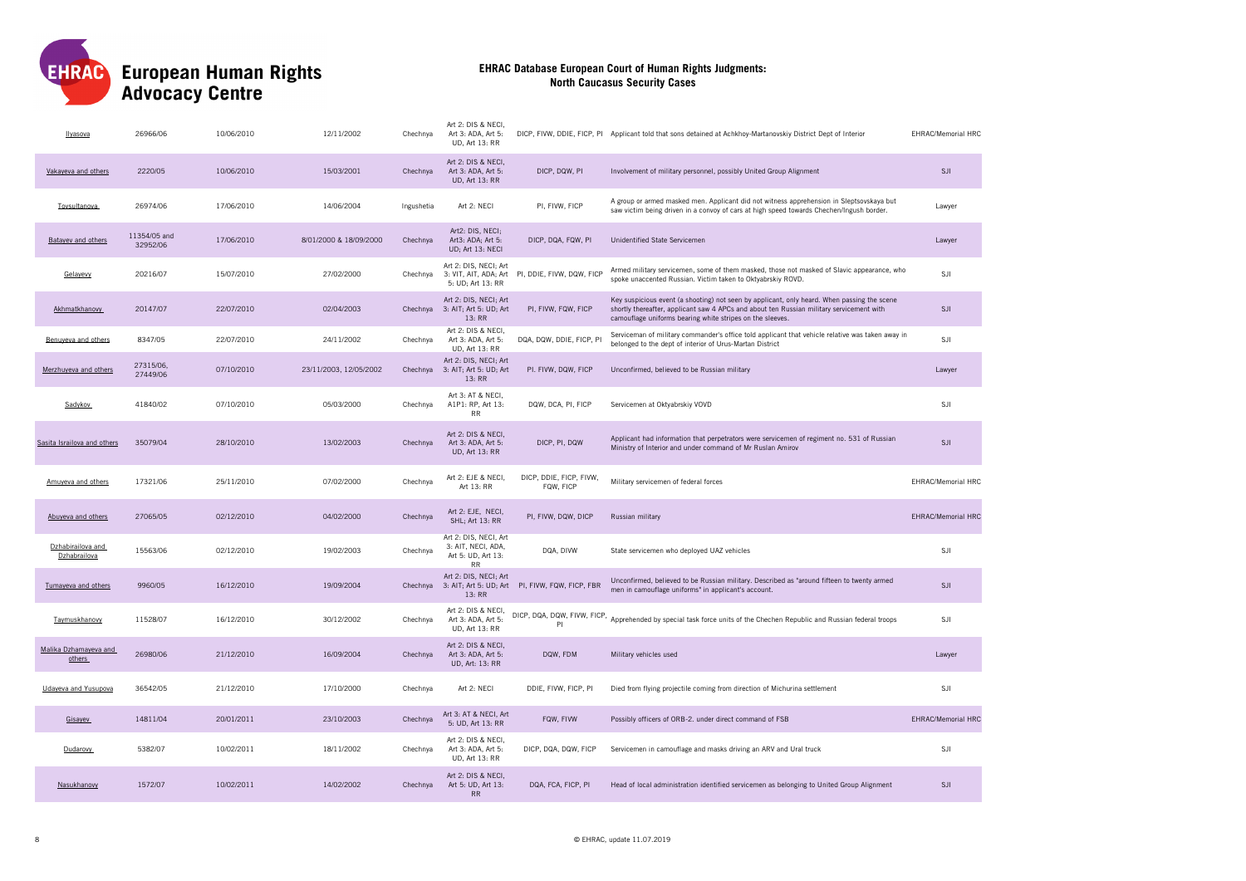

| Ilyasova                          | 26966/06                 | 10/06/2010 | 12/11/2002             | Chechnya   | Art 2: DIS & NECI,<br>Art 3: ADA, Art 5:<br>UD, Art 13: RR                     |                                                 | DICP, FIVW, DDIE, FICP, PI Applicant told that sons detained at Achkhoy-Martanovskiy District Dept of Interior                                                                                                                                       | EHRAC/Memorial HRC        |
|-----------------------------------|--------------------------|------------|------------------------|------------|--------------------------------------------------------------------------------|-------------------------------------------------|------------------------------------------------------------------------------------------------------------------------------------------------------------------------------------------------------------------------------------------------------|---------------------------|
| Vakaveva and others               | 2220/05                  | 10/06/2010 | 15/03/2001             | Chechnya   | Art 2: DIS & NECI,<br>Art 3: ADA, Art 5:<br><b>UD, Art 13: RR</b>              | DICP, DQW, PI                                   | Involvement of military personnel, possibly United Group Alignment                                                                                                                                                                                   | SJI                       |
| Tovsultanova                      | 26974/06                 | 17/06/2010 | 14/06/2004             | Ingushetia | Art 2: NECI                                                                    | PI, FIVW, FICP                                  | A group or armed masked men. Applicant did not witness apprehension in Sleptsovskaya but<br>saw victim being driven in a convoy of cars at high speed towards Chechen/Ingush border.                                                                 | Lawyer                    |
| Batayev and others                | 11354/05 and<br>32952/06 | 17/06/2010 | 8/01/2000 & 18/09/2000 | Chechnya   | Art2: DIS, NECI;<br>Art3: ADA; Art 5:<br>UD; Art 13: NECI                      | DICP, DQA, FQW, PI                              | Unidentified State Servicemen                                                                                                                                                                                                                        | Lawyer                    |
| Gelavevy                          | 20216/07                 | 15/07/2010 | 27/02/2000             | Chechnya   | Art 2: DIS, NECI; Art<br>5: UD; Art 13: RR                                     | 3: VIT, AIT, ADA; Art PI, DDIE, FIVW, DQW, FICP | Armed military servicemen, some of them masked, those not masked of Slavic appearance, who<br>spoke unaccented Russian. Victim taken to Oktyabrskiy ROVD.                                                                                            | SJI                       |
| Akhmatkhanovv                     | 20147/07                 | 22/07/2010 | 02/04/2003             | Chechnya   | Art 2: DIS, NECI; Art<br>3: AIT; Art 5: UD; Art<br>13: RR                      | PI, FIVW, FQW, FICP                             | Key suspicious event (a shooting) not seen by applicant, only heard. When passing the scene<br>shortly thereafter, applicant saw 4 APCs and about ten Russian military servicement with<br>camouflage uniforms bearing white stripes on the sleeves. | SJI                       |
| Benuyeva and others               | 8347/05                  | 22/07/2010 | 24/11/2002             | Chechnya   | Art 2: DIS & NECI,<br>Art 3: ADA, Art 5:<br>UD, Art 13: RR                     | DQA, DQW, DDIE, FICP, PI                        | Serviceman of military commander's office told applicant that vehicle relative was taken away in<br>belonged to the dept of interior of Urus-Martan District                                                                                         | SJI                       |
| Merzhuyeva and others             | 27315/06,<br>27449/06    | 07/10/2010 | 23/11/2003, 12/05/2002 | Chechnya   | Art 2: DIS, NECI; Art<br>3: AIT; Art 5: UD; Art<br>13: RR                      | PI. FIVW, DQW, FICP                             | Unconfirmed, believed to be Russian military                                                                                                                                                                                                         | Lawyer                    |
| Sadykov                           | 41840/02                 | 07/10/2010 | 05/03/2000             | Chechnya   | Art 3: AT & NECI,<br>A1P1: RP, Art 13:<br><b>RR</b>                            | DQW, DCA, PI, FICP                              | Servicemen at Oktyabrskiy VOVD                                                                                                                                                                                                                       | SJI                       |
| Sasita Israilova and others       | 35079/04                 | 28/10/2010 | 13/02/2003             | Chechnya   | Art 2: DIS & NECI,<br>Art 3: ADA, Art 5:<br><b>UD, Art 13: RR</b>              | DICP, PI, DQW                                   | Applicant had information that perpetrators were servicemen of regiment no. 531 of Russian<br>Ministry of Interior and under command of Mr Ruslan Amirov                                                                                             | <b>SJI</b>                |
| Amuveva and others                | 17321/06                 | 25/11/2010 | 07/02/2000             | Chechnya   | Art 2: EJE & NECI,<br>Art 13: RR                                               | DICP, DDIE, FICP, FIVW,<br>FQW, FICP            | Military servicemen of federal forces                                                                                                                                                                                                                | <b>EHRAC/Memorial HRC</b> |
| Abuveva and others                | 27065/05                 | 02/12/2010 | 04/02/2000             | Chechnya   | Art 2: EJE, NECI,<br>SHL; Art 13: RR                                           | PI, FIVW, DQW, DICP                             | Russian military                                                                                                                                                                                                                                     | <b>EHRAC/Memorial HRC</b> |
| Dzhabirailova and<br>Dzhabrailova | 15563/06                 | 02/12/2010 | 19/02/2003             | Chechnya   | Art 2: DIS, NECI, Art<br>3: AIT, NECI, ADA,<br>Art 5: UD, Art 13:<br><b>RR</b> | DQA, DIVW                                       | State servicemen who deployed UAZ vehicles                                                                                                                                                                                                           | SJI                       |
| Tumayeva and others               | 9960/05                  | 16/12/2010 | 19/09/2004             | Chechnya   | Art 2: DIS, NECI; Art<br>13: RR                                                | 3: AIT; Art 5: UD; Art PI, FIVW, FQW, FICP, FBR | Unconfirmed, believed to be Russian military. Described as "around fifteen to twenty armed<br>men in camouflage uniforms" in applicant's account.                                                                                                    | <b>SJI</b>                |
| Taymuskhanovy                     | 11528/07                 | 16/12/2010 | 30/12/2002             | Chechnya   | Art 2: DIS & NECI,<br>Art 3: ADA, Art 5:<br>UD, Art 13: RR                     | PI                                              | DICP, DQA, DQW, FIVW, FICP, Apprehended by special task force units of the Chechen Republic and Russian federal troops                                                                                                                               | SJI                       |
| Malika Dzhamayeva and<br>others   | 26980/06                 | 21/12/2010 | 16/09/2004             | Chechnya   | Art 2: DIS & NECI.<br>Art 3: ADA, Art 5:<br>UD, Art: 13: RR                    | DQW, FDM                                        | Military vehicles used                                                                                                                                                                                                                               | Lawyer                    |
| Udaveva and Yusupova              | 36542/05                 | 21/12/2010 | 17/10/2000             | Chechnya   | Art 2: NECI                                                                    | DDIE, FIVW, FICP, PI                            | Died from flying projectile coming from direction of Michurina settlement                                                                                                                                                                            | SJI                       |
| Gisayev                           | 14811/04                 | 20/01/2011 | 23/10/2003             | Chechnya   | Art 3: AT & NECI, Art<br>5: UD, Art 13: RR                                     | FQW, FIVW                                       | Possibly officers of ORB-2. under direct command of FSB                                                                                                                                                                                              | <b>EHRAC/Memorial HRC</b> |
| Dudarovy                          | 5382/07                  | 10/02/2011 | 18/11/2002             | Chechnya   | Art 2: DIS & NECI,<br>Art 3: ADA, Art 5:<br>UD, Art 13: RR                     | DICP, DQA, DQW, FICP                            | Servicemen in camouflage and masks driving an ARV and Ural truck                                                                                                                                                                                     | <b>SJI</b>                |
| Nasukhanovy                       | 1572/07                  | 10/02/2011 | 14/02/2002             | Chechnya   | Art 2: DIS & NECI,<br>Art 5: UD, Art 13:<br><b>RR</b>                          | DQA, FCA, FICP, PI                              | Head of local administration identified servicemen as belonging to United Group Alignment                                                                                                                                                            | <b>SJI</b>                |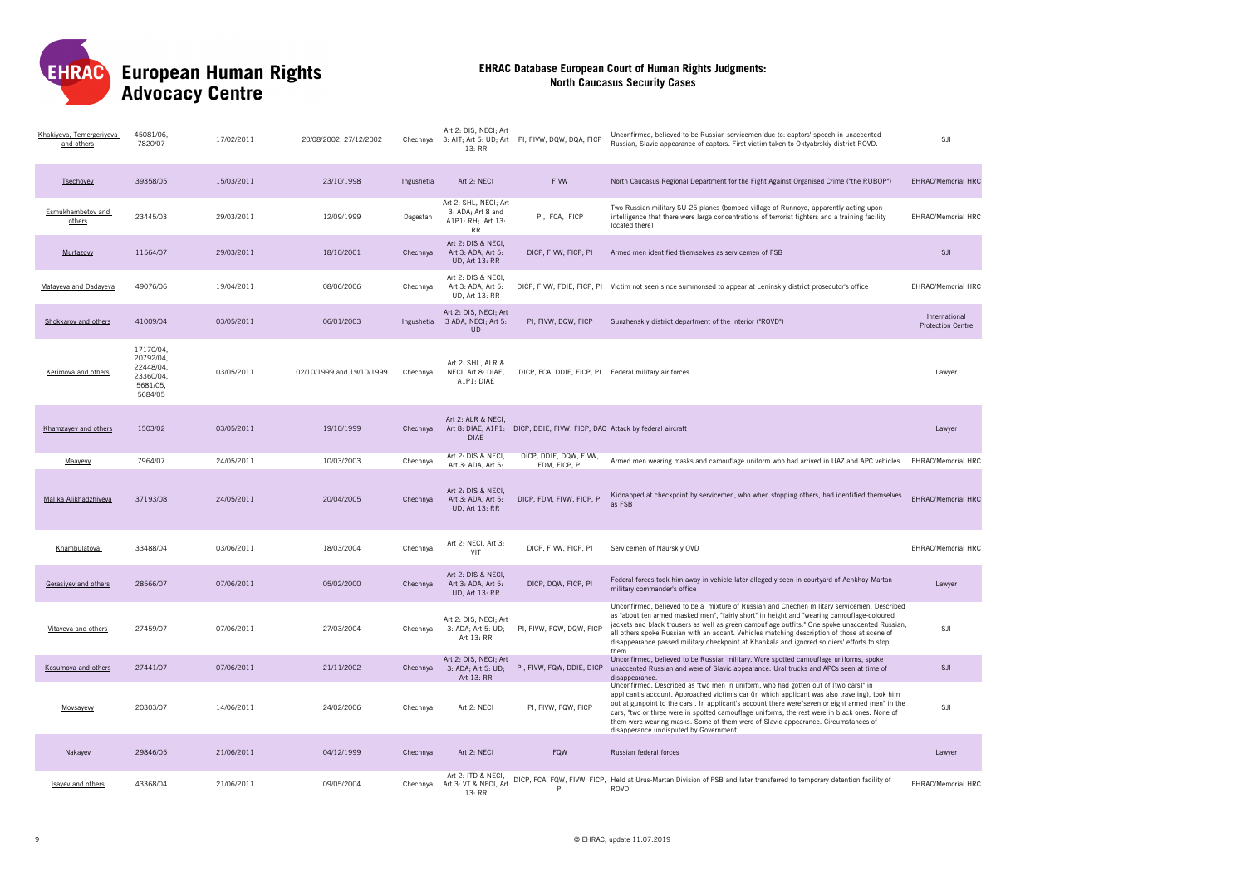European Human Rights<br>Advocacy Centre EHRAC

| Khakiyeva, Temergeriyeva<br>and others | 45081/06,<br>7820/07                                                    | 17/02/2011 | 20/08/2002, 27/12/2002    | Chechnya   | Art 2: DIS, NECI; Art<br>3: AIT; Art 5: UD; Art<br>13:RR                     | PI, FIVW, DQW, DQA, FICP                                                  | Unconfirmed, believed to be Russian servicemen due to: captors' speech in unaccented<br>Russian, Slavic appearance of captors. First victim taken to Oktyabrskiy district ROVD.                                                                                                                                                                                                                                                                                                                                          | SJI                                       |
|----------------------------------------|-------------------------------------------------------------------------|------------|---------------------------|------------|------------------------------------------------------------------------------|---------------------------------------------------------------------------|--------------------------------------------------------------------------------------------------------------------------------------------------------------------------------------------------------------------------------------------------------------------------------------------------------------------------------------------------------------------------------------------------------------------------------------------------------------------------------------------------------------------------|-------------------------------------------|
| Tsechoyev                              | 39358/05                                                                | 15/03/2011 | 23/10/1998                | Ingushetia | Art 2: NECI                                                                  | <b>FIVW</b>                                                               | North Caucasus Regional Department for the Fight Against Organised Crime ("the RUBOP")                                                                                                                                                                                                                                                                                                                                                                                                                                   | <b>EHRAC/Memorial HRC</b>                 |
| Esmukhambetov and<br>others            | 23445/03                                                                | 29/03/2011 | 12/09/1999                | Dagestan   | Art 2: SHL, NECI; Art<br>3: ADA; Art 8 and<br>A1P1: RH; Art 13:<br><b>RR</b> | PI, FCA, FICP                                                             | Two Russian military SU-25 planes (bombed village of Runnoye, apparently acting upon<br>intelligence that there were large concentrations of terrorist fighters and a training facility<br>located there)                                                                                                                                                                                                                                                                                                                | <b>EHRAC/Memorial HRC</b>                 |
| Murtazovy                              | 11564/07                                                                | 29/03/2011 | 18/10/2001                | Chechnya   | Art 2: DIS & NECI,<br>Art 3: ADA, Art 5:<br><b>UD, Art 13: RR</b>            | DICP, FIVW, FICP, PI                                                      | Armed men identified themselves as servicemen of FSB                                                                                                                                                                                                                                                                                                                                                                                                                                                                     | <b>SJI</b>                                |
| Mataveva and Dadaveva                  | 49076/06                                                                | 19/04/2011 | 08/06/2006                | Chechnya   | Art 2: DIS & NECI,<br>Art 3: ADA, Art 5:<br><b>UD, Art 13: RR</b>            |                                                                           | DICP, FIVW, FDIE, FICP, PI Victim not seen since summonsed to appear at Leninskiy district prosecutor's office                                                                                                                                                                                                                                                                                                                                                                                                           | <b>EHRAC/Memorial HRC</b>                 |
| Shokkarov and others                   | 41009/04                                                                | 03/05/2011 | 06/01/2003                | Ingushetia | Art 2: DIS. NECI: Art<br>3 ADA, NECI; Art 5:<br><b>UD</b>                    | PI, FIVW, DQW, FICP                                                       | Sunzhenskiy district department of the interior ("ROVD")                                                                                                                                                                                                                                                                                                                                                                                                                                                                 | International<br><b>Protection Centre</b> |
| Kerimova and others                    | 17170/04.<br>20792/04,<br>22448/04,<br>23360/04,<br>5681/05.<br>5684/05 | 03/05/2011 | 02/10/1999 and 19/10/1999 | Chechnya   | Art 2: SHL, ALR &<br>NECI, Art 8: DIAE,<br>A1P1: DIAE                        | DICP, FCA, DDIE, FICP, PI Federal military air forces                     |                                                                                                                                                                                                                                                                                                                                                                                                                                                                                                                          | Lawyer                                    |
| Khamzayev and others                   | 1503/02                                                                 | 03/05/2011 | 19/10/1999                | Chechnya   | Art 2: ALR & NECI.<br><b>DIAE</b>                                            | Art 8: DIAE, A1P1: DICP, DDIE, FIVW, FICP, DAC Attack by federal aircraft |                                                                                                                                                                                                                                                                                                                                                                                                                                                                                                                          | Lawver                                    |
| Maayevy                                | 7964/07                                                                 | 24/05/2011 | 10/03/2003                | Chechnya   | Art 2: DIS & NECI,<br>Art 3: ADA, Art 5:                                     | DICP, DDIE, DQW, FIVW,<br>FDM, FICP, PI                                   | Armed men wearing masks and camouflage uniform who had arrived in UAZ and APC vehicles                                                                                                                                                                                                                                                                                                                                                                                                                                   | EHRAC/Memorial HRC                        |
| Malika Alikhadzhiveva                  | 37193/08                                                                | 24/05/2011 | 20/04/2005                | Chechnya   | Art 2: DIS & NECI,<br>Art 3: ADA, Art 5:<br><b>UD, Art 13: RR</b>            | DICP, FDM, FIVW, FICP, PI                                                 | Kidnapped at checkpoint by servicemen, who when stopping others, had identified themselves<br>as FSB                                                                                                                                                                                                                                                                                                                                                                                                                     | <b>EHRAC/Memorial HRC</b>                 |
| Khambulatova                           | 33488/04                                                                | 03/06/2011 | 18/03/2004                | Chechnva   | Art 2: NECI, Art 3:<br>VIT                                                   | DICP, FIVW, FICP, PI                                                      | Servicemen of Naurskiy OVD                                                                                                                                                                                                                                                                                                                                                                                                                                                                                               | <b>EHRAC/Memorial HRC</b>                 |
| Gerasiyev and others                   | 28566/07                                                                | 07/06/2011 | 05/02/2000                | Chechnya   | Art 2: DIS & NECI.<br>Art 3: ADA, Art 5:<br><b>UD. Art 13: RR</b>            | DICP, DQW, FICP, PI                                                       | Federal forces took him away in vehicle later allegedly seen in courtyard of Achkhoy-Martan<br>military commander's office                                                                                                                                                                                                                                                                                                                                                                                               | Lawyer                                    |
| Vitayeva and others                    | 27459/07                                                                | 07/06/2011 | 27/03/2004                | Chechnya   | Art 2: DIS, NECI; Art<br>3: ADA; Art 5: UD;<br>Art 13: RR                    | PI, FIVW, FQW, DQW, FICP                                                  | Unconfirmed, believed to be a mixture of Russian and Chechen military servicemen. Described<br>as "about ten armed masked men", "fairly short" in height and "wearing camouflage-coloured<br>jackets and black trousers as well as green camouflage outfits." One spoke unaccented Russian,<br>all others spoke Russian with an accent. Vehicles matching description of those at scene of<br>disappearance passed military checkpoint at Khankala and ignored soldiers' efforts to stop<br>them                         | SJI                                       |
| Kosumova and others                    | 27441/07                                                                | 07/06/2011 | 21/11/2002                | Chechnya   | Art 2: DIS, NECI; Art<br>3: ADA; Art 5: UD;<br>Art 13: RR                    | PI, FIVW, FQW, DDIE, DICP                                                 | Unconfirmed, believed to be Russian military. Wore spotted camouflage uniforms, spoke<br>unaccented Russian and were of Slavic appearance. Ural trucks and APCs seen at time of<br>disappearance.                                                                                                                                                                                                                                                                                                                        | SJI                                       |
| Movsayevy                              | 20303/07                                                                | 14/06/2011 | 24/02/2006                | Chechnya   | Art 2: NECI                                                                  | PI, FIVW, FQW, FICP                                                       | Unconfirmed. Described as "two men in uniform, who had gotten out of [two cars]" in<br>applicant's account. Approached victim's car (in which applicant was also traveling), took him<br>out at gunpoint to the cars . In applicant's account there were seven or eight armed men" in the<br>cars, "two or three were in spotted camouflage uniforms, the rest were in black ones. None of<br>them were wearing masks. Some of them were of Slavic appearance. Circumstances of<br>disapperance undisputed by Government | SJI                                       |
| Nakavev                                | 29846/05                                                                | 21/06/2011 | 04/12/1999                | Chechnva   | Art 2: NECI                                                                  | FQW                                                                       | Russian federal forces                                                                                                                                                                                                                                                                                                                                                                                                                                                                                                   | <b>Lawver</b>                             |
| Isavev and others                      | 43368/04                                                                | 21/06/2011 | 09/05/2004                | Chechnva   | Art 2: ITD & NECI,<br>Art 3: VT & NECI, Art<br>13: RR                        | PI                                                                        | DICP, FCA, FQW, FIVW, FICP, Held at Urus-Martan Division of FSB and later transferred to temporary detention facility of<br>ROVD                                                                                                                                                                                                                                                                                                                                                                                         | <b>EHRAC/Memorial HRC</b>                 |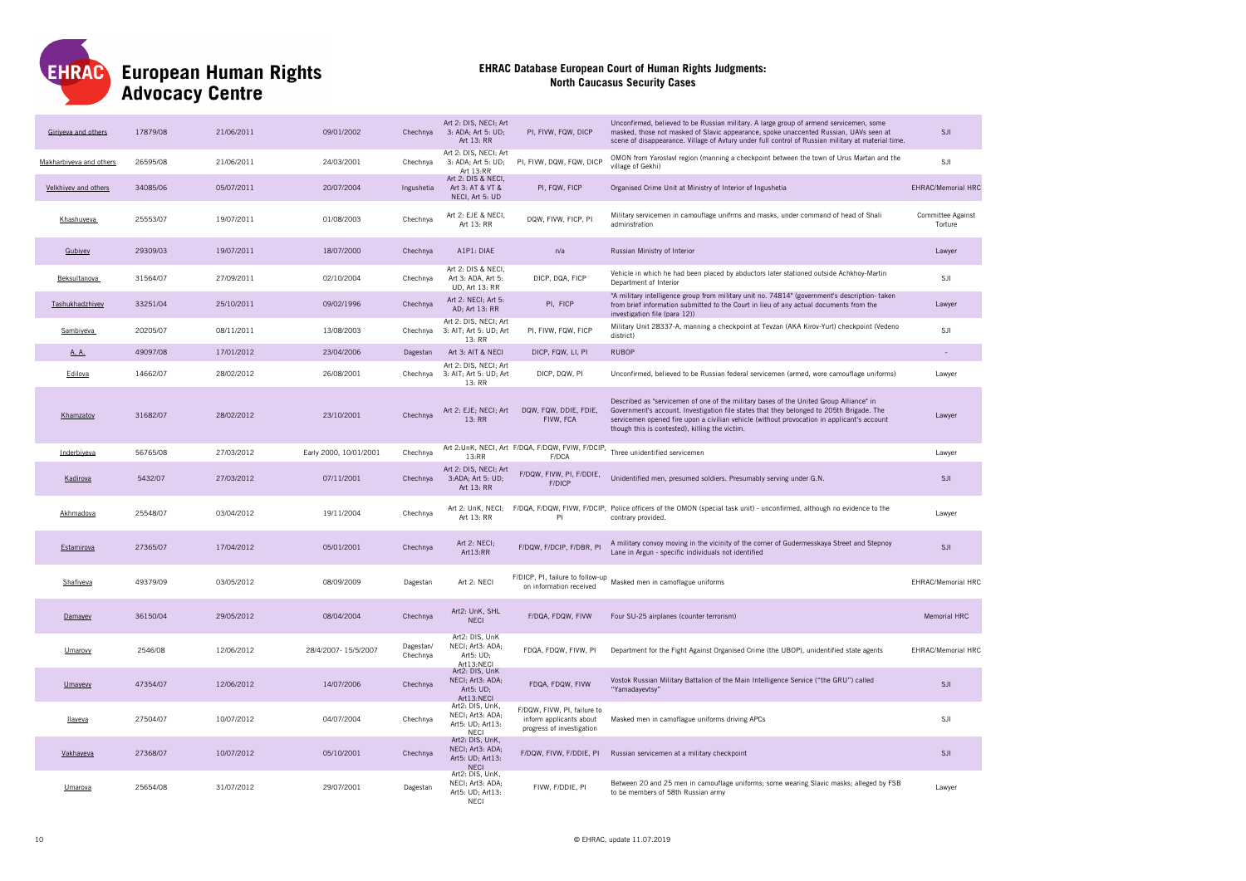

| Giriveva and others     | 17879/08 | 21/06/2011 | 09/01/2002             | Chechnya              | Art 2: DIS. NECI: Art<br>3: ADA; Art 5: UD;<br>Art 13: RR              | PI, FIVW, FQW, DICP                                                                 | Unconfirmed, believed to be Russian military. A large group of armend servicemen, some<br>masked, those not masked of Slavic appearance, spoke unaccented Russian, UAVs seen at<br>scene of disappearance. Village of Avtury under full control of Russian military at material time.                                              | S.II                         |
|-------------------------|----------|------------|------------------------|-----------------------|------------------------------------------------------------------------|-------------------------------------------------------------------------------------|------------------------------------------------------------------------------------------------------------------------------------------------------------------------------------------------------------------------------------------------------------------------------------------------------------------------------------|------------------------------|
| Makharbiyeva and others | 26595/08 | 21/06/2011 | 24/03/2001             | Chechnya              | Art 2: DIS, NECI; Art<br>3: ADA; Art 5: UD;<br>Art 13:RR               | PI, FIVW, DQW, FQW, DICP                                                            | OMON from Yaroslavl region (manning a checkpoint between the town of Urus Martan and the<br>village of Gekhi)                                                                                                                                                                                                                      | SJI                          |
| Velkhiyev and others    | 34085/06 | 05/07/2011 | 20/07/2004             | Ingushetia            | Art 2: DIS & NECI,<br>Art 3: AT & VT &<br>NECI, Art 5: UD              | PI, FQW, FICP                                                                       | Organised Crime Unit at Ministry of Interior of Ingushetia                                                                                                                                                                                                                                                                         | <b>EHRAC/Memorial HRC</b>    |
| Khashuyeva              | 25553/07 | 19/07/2011 | 01/08/2003             | Chechnya              | Art 2: EJE & NECI,<br>Art 13: RR                                       | DQW, FIVW, FICP, PI                                                                 | Military servicemen in camouflage unifrms and masks, under command of head of Shali<br>adminstration                                                                                                                                                                                                                               | Committee Against<br>Torture |
| Gubivey                 | 29309/03 | 19/07/2011 | 18/07/2000             | Chechnya              | A1P1: DIAE                                                             | n/a                                                                                 | Russian Ministry of Interior                                                                                                                                                                                                                                                                                                       | Lawyer                       |
| Beksultanova            | 31564/07 | 27/09/2011 | 02/10/2004             | Chechnya              | Art 2: DIS & NECI,<br>Art 3: ADA, Art 5:<br><b>UD, Art 13: RR</b>      | DICP, DQA, FICP                                                                     | Vehicle in which he had been placed by abductors later stationed outside Achkhoy-Martin<br>Department of Interior                                                                                                                                                                                                                  | SJI                          |
| Tashukhadzhiyev         | 33251/04 | 25/10/2011 | 09/02/1996             | Chechnva              | Art 2: NECI: Art 5:<br>AD; Art 13: RR                                  | PI. FICP                                                                            | "A military intelligence group from military unit no. 74814" (government's description- taken<br>from brief information submitted to the Court in lieu of any actual documents from the<br>investigation file (para 12))                                                                                                           | Lawver                       |
| Sambiyeva               | 20205/07 | 08/11/2011 | 13/08/2003             | Chechnya              | Art 2: DIS, NECI; Art<br>3: AIT; Art 5: UD; Art<br>13: RR              | PI, FIVW, FQW, FICP                                                                 | Military Unit 28337-A, manning a checkpoint at Tevzan (AKA Kirov-Yurt) checkpoint (Vedeno<br>district)                                                                                                                                                                                                                             | SJI                          |
| A. A.                   | 49097/08 | 17/01/2012 | 23/04/2006             | Dagestan              | Art 3: AIT & NECI                                                      | DICP, FQW, LI, PI                                                                   | <b>RUBOP</b>                                                                                                                                                                                                                                                                                                                       |                              |
| Edilova                 | 14662/07 | 28/02/2012 | 26/08/2001             | Chechnya              | Art 2: DIS, NECI; Art<br>3: AIT; Art 5: UD; Art<br>13: RR              | DICP, DQW, PI                                                                       | Unconfirmed, believed to be Russian federal servicemen (armed, wore camouflage uniforms)                                                                                                                                                                                                                                           | Lawver                       |
| Khamzatov               | 31682/07 | 28/02/2012 | 23/10/2001             | Chechnya              | Art 2: EJE; NECI; Art<br>13: RR                                        | DQW, FQW, DDIE, FDIE,<br>FIVW, FCA                                                  | Described as "servicemen of one of the military bases of the United Group Alliance" in<br>Government's account. Investigation file states that they belonged to 205th Brigade. The<br>servicemen opened fire upon a civilian vehicle (without provocation in applicant's account<br>though this is contested), killing the victim. | Lawyer                       |
| Inderbiyeva             | 56765/08 | 27/03/2012 | Early 2000, 10/01/2001 | Chechnya              | 13:RR                                                                  | F/DCA                                                                               | Art 2:UnK, NECI, Art F/DQA, F/DQW, FVIW, F/DCIP, Three unidentified servicemen                                                                                                                                                                                                                                                     | Lawyer                       |
| Kadirova                | 5432/07  | 27/03/2012 | 07/11/2001             | Chechnya              | Art 2: DIS, NECI; Art<br>3:ADA; Art 5: UD;<br>Art 13: RR               | F/DQW, FIVW, PI, F/DDIE,<br>F/DICP                                                  | Unidentified men, presumed soldiers. Presumably serving under G.N.                                                                                                                                                                                                                                                                 | <b>SJI</b>                   |
| Akhmadova               | 25548/07 | 03/04/2012 | 19/11/2004             | Chechnya              | Art 2: UnK, NECI;<br>Art 13: RR                                        | PI                                                                                  | F/DQA, F/DQW, FIVW, F/DCIP, Police officers of the OMON (special task unit) - unconfirmed, although no evidence to the<br>contrary provided.                                                                                                                                                                                       | Lawyer                       |
| Estamirova              | 27365/07 | 17/04/2012 | 05/01/2001             | Chechnya              | Art 2: NECI;<br>Art13:RR                                               | F/DQW, F/DCIP, F/DBR, PI                                                            | A military convoy moving in the vicinity of the corner of Gudermesskaya Street and Stepnoy<br>Lane in Argun - specific individuals not identified                                                                                                                                                                                  | SJI                          |
| Shafiyeva               | 49379/09 | 03/05/2012 | 08/09/2009             | Dagestan              | Art 2: NECI                                                            | on information received                                                             | F/DICP, PI, failure to follow-up Masked men in camoflague uniforms                                                                                                                                                                                                                                                                 | EHRAC/Memorial HRC           |
| Damayev                 | 36150/04 | 29/05/2012 | 08/04/2004             | Chechnya              | Art2: UnK, SHL<br><b>NECI</b>                                          | F/DQA, FDQW, FIVW                                                                   | Four SU-25 airplanes (counter terrorism)                                                                                                                                                                                                                                                                                           | Memorial HRC                 |
| Umarovy                 | 2546/08  | 12/06/2012 | 28/4/2007-15/5/2007    | Dagestan/<br>Chechnya | Art2: DIS, UnK<br>NECI; Art3: ADA;<br>Art5: UD;<br>Art13:NECI          | FDQA, FDQW, FIVW, PI                                                                | Department for the Fight Against Organised Crime (the UBOP), unidentified state agents                                                                                                                                                                                                                                             | EHRAC/Memorial HRC           |
| Umayevy                 | 47354/07 | 12/06/2012 | 14/07/2006             | Chechnya              | Art2: DIS, UnK<br>NECI; Art3: ADA;<br>Art5: UD:<br>Art13:NECI          | FDQA, FDQW, FIVW                                                                    | Vostok Russian Military Battalion of the Main Intelligence Service ("the GRU") called<br>"Yamadayevtsy"                                                                                                                                                                                                                            | SJI                          |
| llaveva                 | 27504/07 | 10/07/2012 | 04/07/2004             | Chechnya              | Art2: DIS, UnK,<br>NECI; Art3: ADA;<br>Art5: UD; Art13:<br>NECI        | F/DQW, FIVW, PI, failure to<br>inform applicants about<br>progress of investigation | Masked men in camoflague uniforms driving APCs                                                                                                                                                                                                                                                                                     | SJI                          |
| Vakhayeva               | 27368/07 | 10/07/2012 | 05/10/2001             | Chechnya              | Art2: DIS. UnK.<br>NECI; Art3: ADA;<br>Art5: UD; Art13:<br><b>NECI</b> | F/DQW, FIVW, F/DDIE, PI                                                             | Russian servicemen at a military checkpoint                                                                                                                                                                                                                                                                                        | SJI                          |
| Umarova                 | 25654/08 | 31/07/2012 | 29/07/2001             | Dagestan              | Art2: DIS, UnK,<br>NECI; Art3: ADA;<br>Art5: UD; Art13:<br>NFCI        | FIVW, F/DDIE, PI                                                                    | Between 20 and 25 men in camouflage uniforms; some wearing Slavic masks; alleged by FSB<br>to be members of 58th Russian army                                                                                                                                                                                                      | Lawyer                       |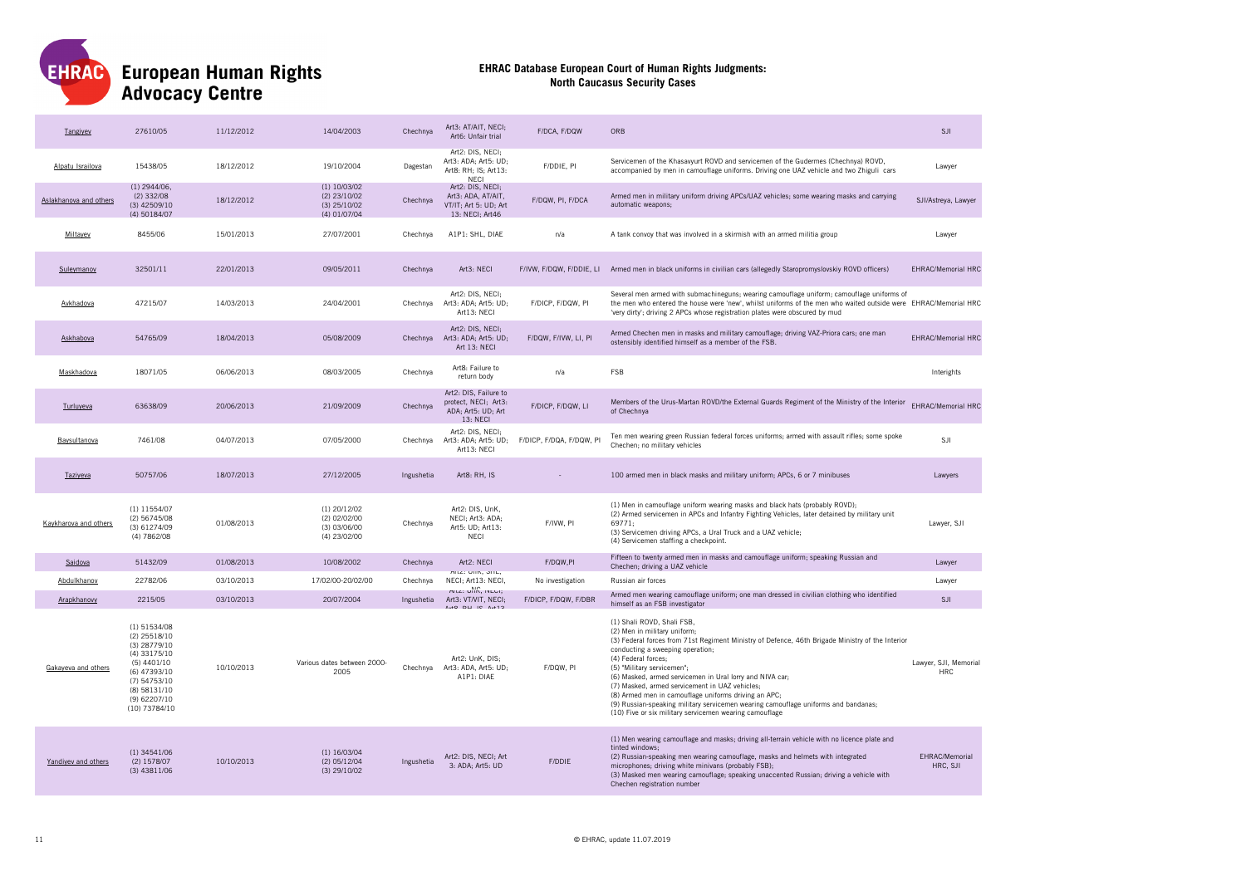

| Tangiyev               | 27610/05                                                                                                                                                             | 11/12/2012 | 14/04/2003                                                         | Chechnva   | Art3: AT/AIT, NECI;<br>Art6: Unfair trial                                          | F/DCA, F/DQW             | ORB                                                                                                                                                                                                                                                                                                                                                                                                                                                                                                                                                                            | <b>SJI</b>                          |
|------------------------|----------------------------------------------------------------------------------------------------------------------------------------------------------------------|------------|--------------------------------------------------------------------|------------|------------------------------------------------------------------------------------|--------------------------|--------------------------------------------------------------------------------------------------------------------------------------------------------------------------------------------------------------------------------------------------------------------------------------------------------------------------------------------------------------------------------------------------------------------------------------------------------------------------------------------------------------------------------------------------------------------------------|-------------------------------------|
| Alpatu Israilova       | 15438/05                                                                                                                                                             | 18/12/2012 | 19/10/2004                                                         | Dagestan   | Art2: DIS, NECI;<br>Art3: ADA; Art5: UD;<br>Art8: RH; IS; Art13:<br><b>NFCI</b>    | F/DDIE, PI               | Servicemen of the Khasavyurt ROVD and servicemen of the Gudermes (Chechnya) ROVD,<br>accompanied by men in camouflage uniforms. Driving one UAZ vehicle and two Zhiguli cars                                                                                                                                                                                                                                                                                                                                                                                                   | Lawyer                              |
| Aslakhanova and others | $(1)$ 2944/06,<br>$(2)$ 332/08<br>(3) 42509/10<br>(4) 50184/07                                                                                                       | 18/12/2012 | $(1)$ 10/03/02<br>$(2)$ 23/10/02<br>$(3)$ 25/10/02<br>(4) 01/07/04 | Chechnya   | Art2: DIS, NECI;<br>Art3: ADA, AT/AIT,<br>VT/IT; Art 5: UD; Art<br>13: NECI: Art46 | F/DQW, PI, F/DCA         | Armed men in military uniform driving APCs/UAZ vehicles; some wearing masks and carrying<br>automatic weapons;                                                                                                                                                                                                                                                                                                                                                                                                                                                                 | SJI/Astreya, Lawyer                 |
| Miltavev               | 8455/06                                                                                                                                                              | 15/01/2013 | 27/07/2001                                                         | Chechnya   | A1P1: SHL, DIAE                                                                    | n/a                      | A tank convoy that was involved in a skirmish with an armed militia group                                                                                                                                                                                                                                                                                                                                                                                                                                                                                                      | Lawyer                              |
| Suleymanov             | 32501/11                                                                                                                                                             | 22/01/2013 | 09/05/2011                                                         | Chechnya   | Art3: NECI                                                                         |                          | F/IVW, F/DQW, F/DDIE, LI Armed men in black uniforms in civilian cars (allegedly Staropromyslovskiy ROVD officers)                                                                                                                                                                                                                                                                                                                                                                                                                                                             | <b>EHRAC/Memorial HRC</b>           |
| Avkhadova              | 47215/07                                                                                                                                                             | 14/03/2013 | 24/04/2001                                                         | Chechnya   | Art2: DIS. NECI:<br>Art3: ADA; Art5: UD;<br>Art13: NECI                            | F/DICP, F/DQW, PI        | Several men armed with submachineguns; wearing camouflage uniform; camouflage uniforms of<br>the men who entered the house were 'new', whilst uniforms of the men who waited outside were EHRAC/Memorial HRC<br>'very dirty'; driving 2 APCs whose registration plates were obscured by mud                                                                                                                                                                                                                                                                                    |                                     |
| Askhabova              | 54765/09                                                                                                                                                             | 18/04/2013 | 05/08/2009                                                         | Chechnya   | Art2: DIS, NECI;<br>Art3: ADA; Art5: UD;<br>Art 13: NECI                           | F/DQW, F/IVW, LI, PI     | Armed Chechen men in masks and military camouflage; driving VAZ-Priora cars; one man<br>ostensibly identified himself as a member of the FSB.                                                                                                                                                                                                                                                                                                                                                                                                                                  | <b>EHRAC/Memorial HRC</b>           |
| Maskhadova             | 18071/05                                                                                                                                                             | 06/06/2013 | 08/03/2005                                                         | Chechnya   | Art8: Failure to<br>return body                                                    | n/a                      | FSB                                                                                                                                                                                                                                                                                                                                                                                                                                                                                                                                                                            | Interights                          |
| Turluyeva              | 63638/09                                                                                                                                                             | 20/06/2013 | 21/09/2009                                                         | Chechnya   | Art2: DIS, Failure to<br>protect, NECI; Art3:<br>ADA; Art5: UD; Art<br>13: NECI    | F/DICP, F/DQW, LI        | Members of the Urus-Martan ROVD/the External Guards Regiment of the Ministry of the Interior<br>of Chechnya                                                                                                                                                                                                                                                                                                                                                                                                                                                                    | EHRAC/Memorial HRC                  |
| Baysultanova           | 7461/08                                                                                                                                                              | 04/07/2013 | 07/05/2000                                                         | Chechnya   | Art2: DIS, NECI;<br>Art3: ADA; Art5: UD;<br>Art13: NECI                            | F/DICP, F/DQA, F/DQW, PI | Ten men wearing green Russian federal forces uniforms; armed with assault rifles; some spoke<br>Chechen; no military vehicles                                                                                                                                                                                                                                                                                                                                                                                                                                                  | SJI                                 |
| Taziyeva               | 50757/06                                                                                                                                                             | 18/07/2013 | 27/12/2005                                                         | Ingushetia | Art8: RH. IS                                                                       |                          | 100 armed men in black masks and military uniform; APCs, 6 or 7 minibuses                                                                                                                                                                                                                                                                                                                                                                                                                                                                                                      | Lawyers                             |
| Kaykharova and others  | $(1)$ 11554/07<br>(2) 56745/08<br>(3) 61274/09<br>(4) 7862/08                                                                                                        | 01/08/2013 | $(1)$ 20/12/02<br>(2) 02/02/00<br>$(3)$ 03/06/00<br>(4) 23/02/00   | Chechnya   | Art2: DIS. UnK.<br>NECI; Art3: ADA;<br>Art5: UD; Art13:<br><b>NECI</b>             | F/IVW, PI                | (1) Men in camouflage uniform wearing masks and black hats (probably ROVD);<br>(2) Armed servicemen in APCs and Infantry Fighting Vehicles, later detained by military unit<br>69771.<br>(3) Servicemen driving APCs, a Ural Truck and a UAZ vehicle;<br>(4) Servicemen staffing a checkpoint.                                                                                                                                                                                                                                                                                 | Lawyer, SJI                         |
| Saidova                | 51432/09                                                                                                                                                             | 01/08/2013 | 10/08/2002                                                         | Chechnya   | Art2: NECI                                                                         | F/DQW,PI                 | Fifteen to twenty armed men in masks and camouflage uniform; speaking Russian and<br>Chechen; driving a UAZ vehicle                                                                                                                                                                                                                                                                                                                                                                                                                                                            | Lawyer                              |
| Abdulkhanov            | 22782/06                                                                                                                                                             | 03/10/2013 | 17/02/00-20/02/00                                                  | Chechnya   | MILE: UTIN, ONL.<br>NECI; Art13: NECI,                                             | No investigation         | Russian air forces                                                                                                                                                                                                                                                                                                                                                                                                                                                                                                                                                             | Lawyer                              |
| Arapkhanovy            | 2215/05                                                                                                                                                              | 03/10/2013 | 20/07/2004                                                         | Ingushetia | MILE: UTIN, IVEUI;<br>Art3: VT/VIT, NECI;<br>$40$ DLI 10 $A+12$                    | F/DICP, F/DQW, F/DBR     | Armed men wearing camouflage uniform; one man dressed in civilian clothing who identified<br>himself as an FSB investigator                                                                                                                                                                                                                                                                                                                                                                                                                                                    | <b>SJI</b>                          |
| Gakayeva and others    | (1) 51534/08<br>(2) 25518/10<br>$(3)$ 28779/10<br>$(4)$ 33175/10<br>$(5)$ 4401/10<br>(6) 47393/10<br>$(7)$ 54753/10<br>(8) 58131/10<br>(9) 62207/10<br>(10) 73784/10 | 10/10/2013 | Various dates between 2000-<br>2005                                | Chechnya   | Art2: UnK. DIS:<br>Art3: ADA, Art5: UD;<br>A1P1: DIAE                              | F/DQW, PI                | (1) Shali ROVD, Shali FSB,<br>(2) Men in military uniform;<br>(3) Federal forces from 71st Regiment Ministry of Defence, 46th Brigade Ministry of the Interior<br>conducting a sweeping operation;<br>(4) Federal forces;<br>(5) "Military servicemen";<br>(6) Masked, armed servicemen in Ural lorry and NIVA car;<br>(7) Masked, armed servicement in UAZ vehicles;<br>(8) Armed men in camouflage uniforms driving an APC;<br>(9) Russian-speaking military servicemen wearing camouflage uniforms and bandanas;<br>(10) Five or six military servicemen wearing camouflage | Lawyer, SJI, Memorial<br><b>HRC</b> |
| Yandivey and others    | $(1)$ 34541/06<br>(2) 1578/07<br>$(3)$ 43811/06                                                                                                                      | 10/10/2013 | $(1)$ 16/03/04<br>$(2)$ 05/12/04<br>$(3)$ 29/10/02                 | Ingushetia | Art2: DIS, NECI: Art<br>3: ADA; Art5: UD                                           | F/DDIE                   | (1) Men wearing camouflage and masks; driving all-terrain vehicle with no licence plate and<br>tinted windows:<br>(2) Russian-speaking men wearing camouflage, masks and helmets with integrated<br>microphones; driving white minivans (probably FSB);<br>(3) Masked men wearing camouflage; speaking unaccented Russian; driving a vehicle with<br>Chechen registration number                                                                                                                                                                                               | EHRAC/Memorial<br>HRC, SJI          |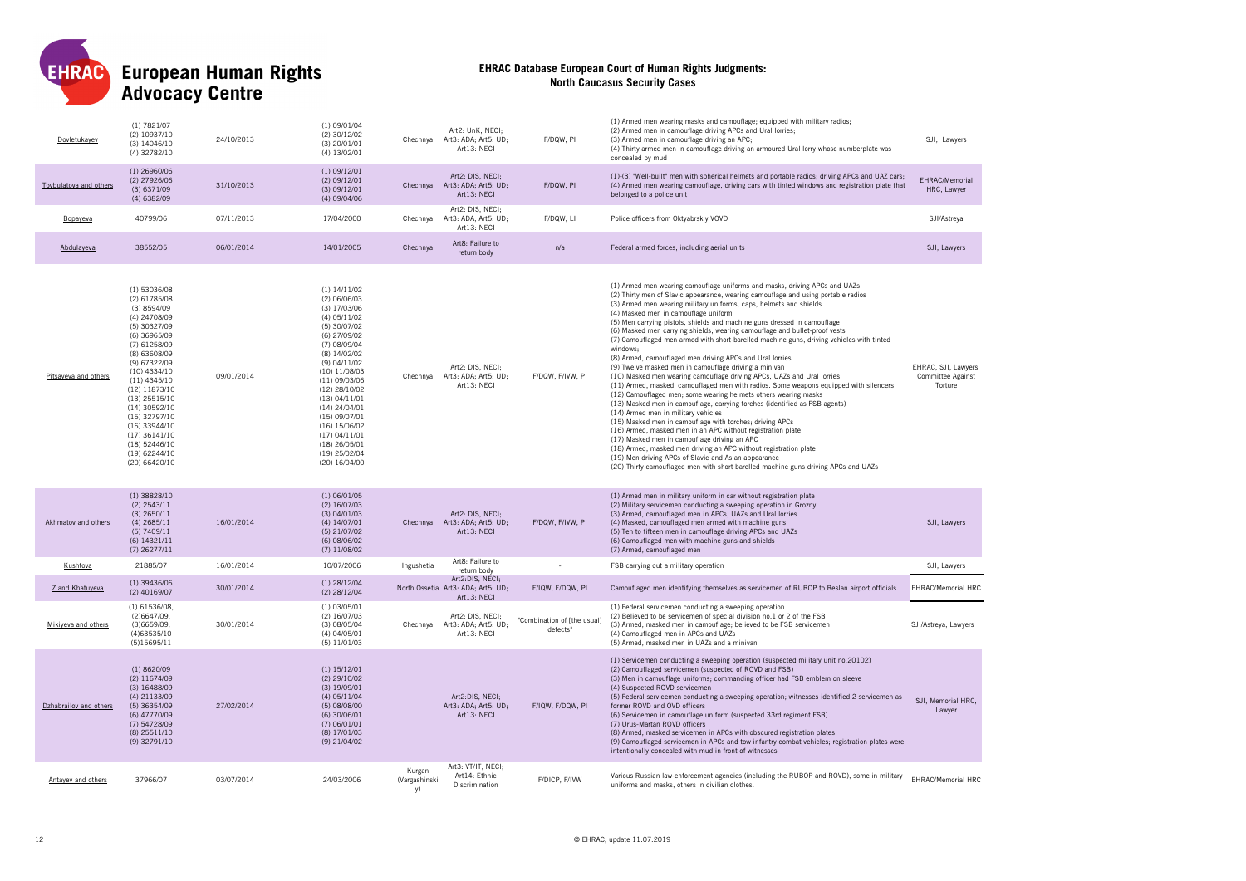

| Dovletukavev           | $(1)$ 7821/07<br>(2) 10937/10<br>$(3)$ 14046/10<br>(4) 32782/10                                                                                                                                                                                                                                                                                 | 24/10/2013 | $(1)$ 09/01/04<br>(2) 30/12/02<br>$(3)$ 20/01/01<br>(4) 13/02/01                                                                                                                                                                                                                                                                                          | Chechnya                      | Art2: UnK. NECI:<br>Art3: ADA; Art5: UD;<br>Art13: NECI              | F/DQW, PI                               | (1) Armed men wearing masks and camouflage; equipped with military radios;<br>(2) Armed men in camouflage driving APCs and Ural lorries;<br>(3) Armed men in camouflage driving an APC;<br>(4) Thirty armed men in camouflage driving an armoured Ural lorry whose numberplate was<br>concealed by mud                                                                                                                                                                                                                                                                                                                                                                                                                                                                                                                                                                                                                                                                                                                                                                                                                                                                                                                                                                                                                                                                                                                       | SJI, Lawyers                                                |
|------------------------|-------------------------------------------------------------------------------------------------------------------------------------------------------------------------------------------------------------------------------------------------------------------------------------------------------------------------------------------------|------------|-----------------------------------------------------------------------------------------------------------------------------------------------------------------------------------------------------------------------------------------------------------------------------------------------------------------------------------------------------------|-------------------------------|----------------------------------------------------------------------|-----------------------------------------|------------------------------------------------------------------------------------------------------------------------------------------------------------------------------------------------------------------------------------------------------------------------------------------------------------------------------------------------------------------------------------------------------------------------------------------------------------------------------------------------------------------------------------------------------------------------------------------------------------------------------------------------------------------------------------------------------------------------------------------------------------------------------------------------------------------------------------------------------------------------------------------------------------------------------------------------------------------------------------------------------------------------------------------------------------------------------------------------------------------------------------------------------------------------------------------------------------------------------------------------------------------------------------------------------------------------------------------------------------------------------------------------------------------------------|-------------------------------------------------------------|
| Toybulatova and others | $(1)$ 26960/06<br>(2) 27926/06<br>$(3)$ 6371/09<br>$(4)$ 6382/09                                                                                                                                                                                                                                                                                | 31/10/2013 | $(1)$ 09/12/01<br>(2) 09/12/01<br>(3) 09/12/01<br>(4) 09/04/06                                                                                                                                                                                                                                                                                            | Chechnya                      | Art2: DIS. NECI:<br>Art3: ADA; Art5: UD;<br>Art13: NECI              | F/DQW, PI                               | (1)-(3) "Well-built" men with spherical helmets and portable radios; driving APCs and UAZ cars;<br>(4) Armed men wearing camouflage, driving cars with tinted windows and registration plate that<br>belonged to a police unit                                                                                                                                                                                                                                                                                                                                                                                                                                                                                                                                                                                                                                                                                                                                                                                                                                                                                                                                                                                                                                                                                                                                                                                               | EHRAC/Memorial<br>HRC, Lawyer                               |
| Bopayeva               | 40799/06                                                                                                                                                                                                                                                                                                                                        | 07/11/2013 | 17/04/2000                                                                                                                                                                                                                                                                                                                                                | Chechnya                      | Art2: DIS. NECI:<br>Art3: ADA, Art5: UD;<br>Art13: NECI              | F/DQW, LI                               | Police officers from Oktyabrskiy VOVD                                                                                                                                                                                                                                                                                                                                                                                                                                                                                                                                                                                                                                                                                                                                                                                                                                                                                                                                                                                                                                                                                                                                                                                                                                                                                                                                                                                        | SJI/Astreya                                                 |
| Abdulaveva             | 38552/05                                                                                                                                                                                                                                                                                                                                        | 06/01/2014 | 14/01/2005                                                                                                                                                                                                                                                                                                                                                | Chechnya                      | Art8: Failure to<br>return body                                      | n/a                                     | Federal armed forces, including aerial units                                                                                                                                                                                                                                                                                                                                                                                                                                                                                                                                                                                                                                                                                                                                                                                                                                                                                                                                                                                                                                                                                                                                                                                                                                                                                                                                                                                 | SJI, Lawyers                                                |
| Pitsayeva and others   | (1) 53036/08<br>$(2)$ 61785/08<br>(3)8594/09<br>(4) 24708/09<br>(5) 30327/09<br>$(6)$ 36965/09<br>(7) 61258/09<br>(8) 63608/09<br>(9) 67322/09<br>$(10)$ 4334/10<br>$(11)$ 4345/10<br>(12) 11873/10<br>$(13)$ 25515/10<br>(14) 30592/10<br>(15) 32797/10<br>(16) 33944/10<br>$(17)$ 36141/10<br>(18) 52446/10<br>(19) 62244/10<br>(20) 66420/10 | 09/01/2014 | $(1)$ 14/11/02<br>$(2)$ 06/06/03<br>$(3)$ 17/03/06<br>$(4)$ 05/11/02<br>(5) 30/07/02<br>(6) 27/09/02<br>(7) 08/09/04<br>(8) 14/02/02<br>$(9)$ 04/11/02<br>$(10)$ $11/08/03$<br>(11) 09/03/06<br>(12) 28/10/02<br>(13) 04/11/01<br>$(14)$ 24/04/01<br>(15) 09/07/01<br>(16) 15/06/02<br>(17) 04/11/01<br>$(18)$ 26/05/01<br>(19) 25/02/04<br>(20) 16/04/00 | Chechnya                      | Art2: DIS. NECI:<br>Art3: ADA; Art5: UD;<br>Art13: NECI              | F/DQW, F/IVW, PI                        | (1) Armed men wearing camouflage uniforms and masks, driving APCs and UAZs<br>(2) Thirty men of Slavic appearance, wearing camouflage and using portable radios<br>(3) Armed men wearing military uniforms, caps, helmets and shields<br>(4) Masked men in camouflage uniform<br>(5) Men carrying pistols, shields and machine guns dressed in camouflage<br>(6) Masked men carrying shields, wearing camouflage and bullet-proof vests<br>(7) Camouflaged men armed with short-barelled machine guns, driving vehicles with tinted<br>windows;<br>(8) Armed, camouflaged men driving APCs and Ural lorries<br>(9) Twelve masked men in camouflage driving a minivan<br>(10) Masked men wearing camouflage driving APCs, UAZs and Ural lorries<br>(11) Armed, masked, camouflaged men with radios. Some weapons equipped with silencers<br>(12) Camouflaged men: some wearing helmets others wearing masks<br>(13) Masked men in camouflage, carrying torches (identified as FSB agents)<br>(14) Armed men in military vehicles<br>(15) Masked men in camouflage with torches; driving APCs<br>(16) Armed, masked men in an APC without registration plate<br>(17) Masked men in camouflage driving an APC<br>(18) Armed, masked men driving an APC without registration plate<br>(19) Men driving APCs of Slavic and Asian appearance<br>(20) Thirty camouflaged men with short barelled machine guns driving APCs and UAZs | EHRAC, SJI, Lawvers.<br><b>Committee Against</b><br>Torture |
| Akhmatov and others    | $(1)$ 38828/10<br>$(2)$ 2543/11<br>$(3)$ 2650/11<br>$(4)$ 2685/11<br>$(5)$ 7409/11<br>$(6)$ 14321/11<br>$(7)$ 26277/11                                                                                                                                                                                                                          | 16/01/2014 | $(1)$ 06/01/05<br>$(2)$ 16/07/03<br>(3) 04/01/03<br>$(4)$ 14/07/01<br>$(5)$ 21/07/02<br>(6) 08/06/02<br>$(7)$ 11/08/02                                                                                                                                                                                                                                    | Chechnya                      | Art2: DIS, NECI;<br>Art3: ADA: Art5: UD:<br>Art13: NECI              | F/DQW, F/IVW, PI                        | (1) Armed men in military uniform in car without registration plate<br>(2) Military servicemen conducting a sweeping operation in Grozny<br>(3) Armed, camouflaged men in APCs, UAZs and Ural lorries<br>(4) Masked, camouflaged men armed with machine guns<br>(5) Ten to fifteen men in camouflage driving APCs and UAZs<br>(6) Camouflaged men with machine guns and shields<br>(7) Armed, camouflaged men                                                                                                                                                                                                                                                                                                                                                                                                                                                                                                                                                                                                                                                                                                                                                                                                                                                                                                                                                                                                                | SJI, Lawyers                                                |
| Kushtova               | 21885/07                                                                                                                                                                                                                                                                                                                                        | 16/01/2014 | 10/07/2006                                                                                                                                                                                                                                                                                                                                                | Ingushetia                    | Art8: Failure to<br>return body                                      |                                         | FSB carrying out a military operation                                                                                                                                                                                                                                                                                                                                                                                                                                                                                                                                                                                                                                                                                                                                                                                                                                                                                                                                                                                                                                                                                                                                                                                                                                                                                                                                                                                        | SJI, Lawyers                                                |
| Z and Khatuveva        | $(1)$ 39436/06<br>(2) 40169/07                                                                                                                                                                                                                                                                                                                  | 30/01/2014 | $(1)$ 28/12/04<br>$(2)$ 28/12/04                                                                                                                                                                                                                                                                                                                          |                               | Art2:DIS, NECI;<br>North Ossetia Art3: ADA; Art5: UD;<br>Art13: NECI | F/IQW, F/DQW, PI                        | Camouflaged men identifying themselves as servicemen of RUBOP to Beslan airport officials                                                                                                                                                                                                                                                                                                                                                                                                                                                                                                                                                                                                                                                                                                                                                                                                                                                                                                                                                                                                                                                                                                                                                                                                                                                                                                                                    | <b>EHRAC/Memorial HRC</b>                                   |
| Mikiveva and others    | $(1)$ 61536/08,<br>(2)6647/09,<br>(3)6659/09.<br>(4)63535/10<br>(5)15695/11                                                                                                                                                                                                                                                                     | 30/01/2014 | $(1)$ 03/05/01<br>$(2)$ 16/07/03<br>$(3)$ 08/05/04<br>(4) 04/05/01<br>(5) 11/01/03                                                                                                                                                                                                                                                                        | Chechnva                      | Art2: DIS, NECI;<br>Art3: ADA: Art5: UD:<br>Art13: NECI              | "Combination of [the usual]<br>defects' | (1) Federal servicemen conducting a sweeping operation<br>(2) Believed to be servicemen of special division no.1 or 2 of the FSB<br>(3) Armed, masked men in camouflage; believed to be FSB servicemen<br>(4) Camouflaged men in APCs and UAZs<br>(5) Armed, masked men in UAZs and a minivan                                                                                                                                                                                                                                                                                                                                                                                                                                                                                                                                                                                                                                                                                                                                                                                                                                                                                                                                                                                                                                                                                                                                | SJI/Astreya, Lawyers                                        |
| Dzhabrailov and others | (1)8620/09<br>(2) 11674/09<br>$(3)$ 16488/09<br>(4) 21133/09<br>$(5)$ 36354/09<br>(6) 47770/09<br>(7) 54728/09<br>$(8)$ 25511/10<br>(9) 32791/10                                                                                                                                                                                                | 27/02/2014 | $(1)$ 15/12/01<br>$(2)$ 29/10/02<br>$(3)$ 19/09/01<br>$(4)$ 05/11/04<br>(5) 08/08/00<br>$(6)$ 30/06/01<br>$(7)$ 06/01/01<br>(8) 17/01/03<br>(9) 21/04/02                                                                                                                                                                                                  |                               | Art2:DIS, NECI;<br>Art3: ADA; Art5: UD;<br>Art13: NECI               | F/IQW, F/DQW, PI                        | (1) Servicemen conducting a sweeping operation (suspected military unit no.20102)<br>(2) Camouflaged servicemen (suspected of ROVD and FSB)<br>(3) Men in camouflage uniforms; commanding officer had FSB emblem on sleeve<br>(4) Suspected ROVD servicemen<br>(5) Federal servicemen conducting a sweeping operation; witnesses identified 2 servicemen as<br>former ROVD and OVD officers<br>(6) Servicemen in camouflage uniform (suspected 33rd regiment FSB)<br>(7) Urus-Martan ROVD officers<br>(8) Armed, masked servicemen in APCs with obscured registration plates<br>(9) Camouflaged servicemen in APCs and tow infantry combat vehicles; registration plates were<br>intentionally concealed with mud in front of witnesses                                                                                                                                                                                                                                                                                                                                                                                                                                                                                                                                                                                                                                                                                      | SJI, Memorial HRC,<br>Lawyer                                |
| Antayev and others     | 37966/07                                                                                                                                                                                                                                                                                                                                        | 03/07/2014 | 24/03/2006                                                                                                                                                                                                                                                                                                                                                | Kurgan<br>(Vargashinski<br>y) | Art3: VT/IT, NECI;<br>Art14: Ethnic<br>Discrimination                | F/DICP, F/IVW                           | Various Russian law-enforcement agencies (including the RUBOP and ROVD), some in military<br>uniforms and masks, others in civilian clothes.                                                                                                                                                                                                                                                                                                                                                                                                                                                                                                                                                                                                                                                                                                                                                                                                                                                                                                                                                                                                                                                                                                                                                                                                                                                                                 | EHRAC/Memorial HRC                                          |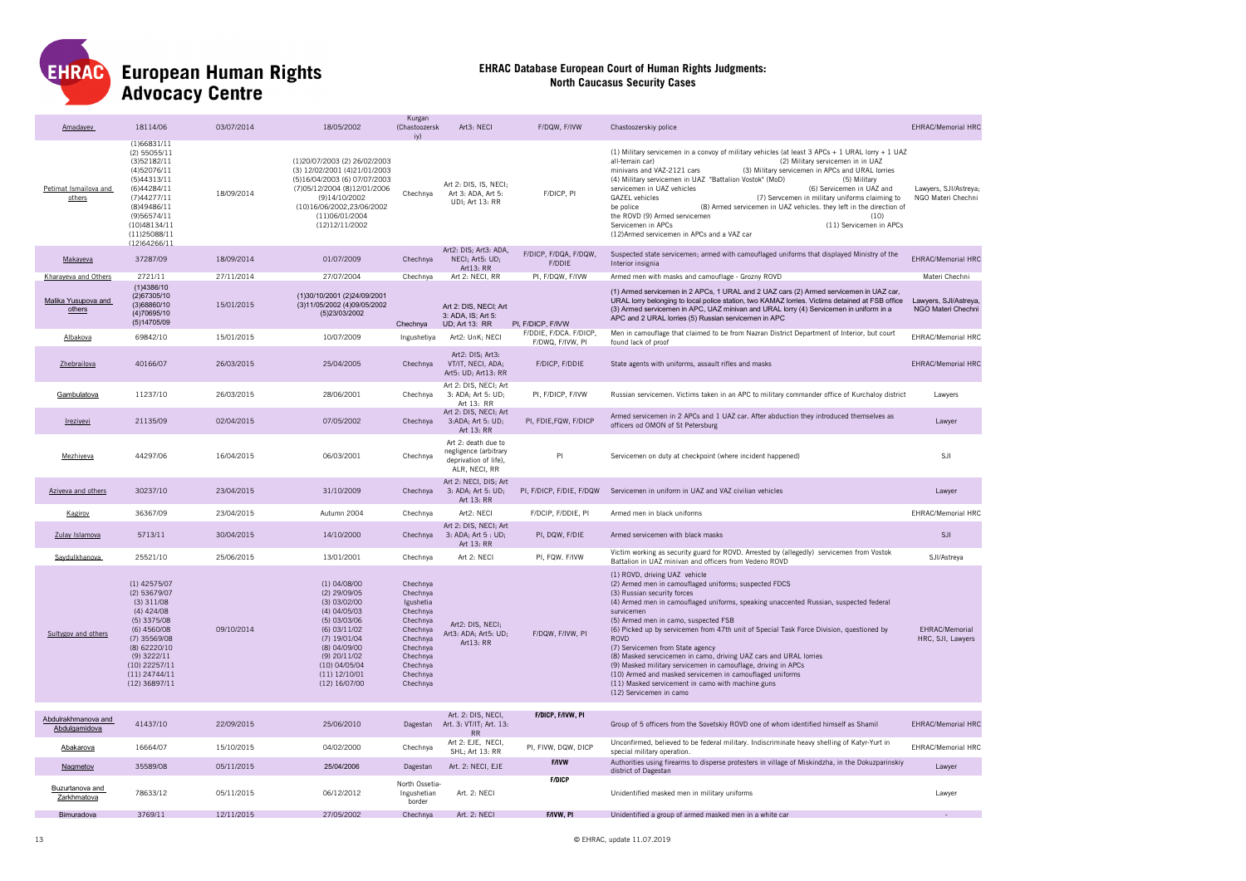

# **European Human Rights<br>Advocacy Centre**

| <b>Amadavev</b>                      | 18114/06                                                                                                                                                                                                 | 03/07/2014 | 18/05/2002                                                                                                                                                                                                     | Kurgan<br>(Chastoozersk<br>iv)                                                                                                                | Art3: NECI                                                                             | F/DQW, F/IVW                               | Chastoozerskiy police                                                                                                                                                                                                                                                                                                                                                                                                                                                                                                                                                                                                                                                                                 | <b>EHRAC/Memorial HRC</b>                   |
|--------------------------------------|----------------------------------------------------------------------------------------------------------------------------------------------------------------------------------------------------------|------------|----------------------------------------------------------------------------------------------------------------------------------------------------------------------------------------------------------------|-----------------------------------------------------------------------------------------------------------------------------------------------|----------------------------------------------------------------------------------------|--------------------------------------------|-------------------------------------------------------------------------------------------------------------------------------------------------------------------------------------------------------------------------------------------------------------------------------------------------------------------------------------------------------------------------------------------------------------------------------------------------------------------------------------------------------------------------------------------------------------------------------------------------------------------------------------------------------------------------------------------------------|---------------------------------------------|
| Petimat Ismailova and<br>others      | (1)66831/11<br>(2) 55055/11<br>(3)52182/11<br>(4)52076/11<br>(5)44313/11<br>(6)44284/11<br>(7)44277/11<br>(8)49486/11<br>(9)56574/11<br>(10)48134/11<br>(11)25088/11<br>(12)64266/11                     | 18/09/2014 | (1)20/07/2003 (2) 26/02/2003<br>(3) 12/02/2001 (4) 21/01/2003<br>(5)16/04/2003 (6) 07/07/2003<br>(7)05/12/2004 (8)12/01/2006<br>(9)14/10/2002<br>(10)16/06/2002,23/06/2002<br>(11)06/01/2004<br>(12)12/11/2002 | Chechnya                                                                                                                                      | Art 2: DIS, IS, NECI;<br>Art 3: ADA, Art 5:<br>UDI; Art 13: RR                         | F/DICP, PI                                 | (1) Military servicemen in a convoy of military vehicles (at least 3 APCs + 1 URAL lorry + 1 UAZ<br>(2) Military servicemen in in UAZ<br>all-terrain car)<br>minivans and VAZ-2121 cars<br>(3) Military servicemen in APCs and URAL lorries<br>(4) Military servicemen in UAZ "Battalion Vostok" (MoD)<br>(5) Military<br>(6) Servicemen in UAZ and<br>servicemen in UAZ vehicles<br><b>GAZEL</b> vehicles<br>(7) Servcemen in military uniforms claiming to<br>be police<br>(8) Armed servicemen in UAZ vehicles. they left in the direction of<br>the ROVD (9) Armed servicemen<br>(10)<br>(11) Servicemen in APCs<br>Servicemen in APCs<br>(12)Armed servicemen in APCs and a VAZ car              | Lawyers, SJI/Astreya;<br>NGO Materi Chechni |
| Makayeva                             | 37287/09                                                                                                                                                                                                 | 18/09/2014 | 01/07/2009                                                                                                                                                                                                     | Chechnya                                                                                                                                      | Art2: DIS; Art3: ADA,<br>NECI; Art5: UD;<br>Art13: RR                                  | F/DICP, F/DQA, F/DQW,<br>F/DDIE            | Suspected state servicemen; armed with camouflaged uniforms that displayed Ministry of the<br>Interior insignia                                                                                                                                                                                                                                                                                                                                                                                                                                                                                                                                                                                       | <b>EHRAC/Memorial HRC</b>                   |
| Kharaveva and Others                 | 2721/11                                                                                                                                                                                                  | 27/11/2014 | 27/07/2004                                                                                                                                                                                                     | Chechnva                                                                                                                                      | Art 2: NECI, RR                                                                        | PI. F/DQW. F/IVW                           | Armed men with masks and camouflage - Grozny ROVD                                                                                                                                                                                                                                                                                                                                                                                                                                                                                                                                                                                                                                                     | Materi Chechni                              |
| Malika Yusupova and<br>others        | (1)4386/10<br>(2)67305/10<br>(3)68860/10<br>(4)70695/10<br>(5)14705/09                                                                                                                                   | 15/01/2015 | (1)30/10/2001 (2)24/09/2001<br>(3)11/05/2002 (4)09/05/2002<br>(5)23/03/2002                                                                                                                                    | Chechnya                                                                                                                                      | Art 2: DIS, NECI; Art<br>3: ADA, IS: Art 5:<br><b>UD; Art 13: RR</b>                   | PI, F/DICP, F/IVW                          | (1) Armed servicemen in 2 APCs, 1 URAL and 2 UAZ cars (2) Armed servicemen in UAZ car,<br>URAL lorry belonging to local police station, two KAMAZ lorries. Victims detained at FSB office<br>(3) Armed servicemen in APC, UAZ minivan and URAL lorry (4) Servicemen in uniform in a<br>APC and 2 URAL lorries (5) Russian servicemen in APC                                                                                                                                                                                                                                                                                                                                                           | Lawyers, SJI/Astreya,<br>NGO Materi Chechni |
| Albakova                             | 69842/10                                                                                                                                                                                                 | 15/01/2015 | 10/07/2009                                                                                                                                                                                                     | Ingushetiya                                                                                                                                   | Art2: UnK; NECI                                                                        | F/DDIE, F/DCA. F/DICP,<br>F/DWQ, F/IVW, PI | Men in camouflage that claimed to be from Nazran District Department of Interior, but court<br>found lack of proof                                                                                                                                                                                                                                                                                                                                                                                                                                                                                                                                                                                    | <b>EHRAC/Memorial HRC</b>                   |
| Zhebrailova                          | 40166/07                                                                                                                                                                                                 | 26/03/2015 | 25/04/2005                                                                                                                                                                                                     | Chechnya                                                                                                                                      | Art2: DIS; Art3:<br>VT/IT, NECI, ADA;<br>Art5: UD; Art13: RR                           | F/DICP, F/DDIE                             | State agents with uniforms, assault rifles and masks                                                                                                                                                                                                                                                                                                                                                                                                                                                                                                                                                                                                                                                  | <b>EHRAC/Memorial HRC</b>                   |
| Gambulatova                          | 11237/10                                                                                                                                                                                                 | 26/03/2015 | 28/06/2001                                                                                                                                                                                                     | Chechnya                                                                                                                                      | Art 2: DIS, NECI; Art<br>3: ADA; Art 5: UD;<br>Art 13: RR                              | PI, F/DICP, F/IVW                          | Russian servicemen. Victims taken in an APC to military commander office of Kurchaloy district                                                                                                                                                                                                                                                                                                                                                                                                                                                                                                                                                                                                        | Lawvers                                     |
| Ireziyevi                            | 21135/09                                                                                                                                                                                                 | 02/04/2015 | 07/05/2002                                                                                                                                                                                                     | Chechnya                                                                                                                                      | Art 2: DIS, NECI; Art<br>3:ADA; Art 5: UD;<br>Art 13: RR                               | PI, FDIE, FQW, F/DICP                      | Armed servicemen in 2 APCs and 1 UAZ car. After abduction they introduced themselves as<br>officers od OMON of St Petersburg                                                                                                                                                                                                                                                                                                                                                                                                                                                                                                                                                                          | Lawyer                                      |
| Mezhiyeva                            | 44297/06                                                                                                                                                                                                 | 16/04/2015 | 06/03/2001                                                                                                                                                                                                     | Chechnya                                                                                                                                      | Art 2: death due to<br>negligence (arbitrary<br>deprivation of life),<br>ALR, NECI, RR | PI                                         | Servicemen on duty at checkpoint (where incident happened)                                                                                                                                                                                                                                                                                                                                                                                                                                                                                                                                                                                                                                            | SJI                                         |
| Aziyeva and others                   | 30237/10                                                                                                                                                                                                 | 23/04/2015 | 31/10/2009                                                                                                                                                                                                     | Chechnya                                                                                                                                      | Art 2: NECI, DIS; Art<br>3: ADA; Art 5: UD;<br>Art 13: RR                              | PI, F/DICP, F/DIE, F/DQW                   | Servicemen in uniform in UAZ and VAZ civilian vehicles                                                                                                                                                                                                                                                                                                                                                                                                                                                                                                                                                                                                                                                | Lawver                                      |
| Kagirov                              | 36367/09                                                                                                                                                                                                 | 23/04/2015 | Autumn 2004                                                                                                                                                                                                    | Chechnya                                                                                                                                      | Art2: NECI                                                                             | F/DCIP, F/DDIE, PI                         | Armed men in black uniforms                                                                                                                                                                                                                                                                                                                                                                                                                                                                                                                                                                                                                                                                           | <b>EHRAC/Memorial HRC</b>                   |
| Zulay Islamova                       | 5713/11                                                                                                                                                                                                  | 30/04/2015 | 14/10/2000                                                                                                                                                                                                     | Chechnya                                                                                                                                      | Art 2: DIS, NECI; Art<br>3: ADA; Art 5 : UD;<br>Art 13: RR                             | PI, DQW, F/DIE                             | Armed servicemen with black masks                                                                                                                                                                                                                                                                                                                                                                                                                                                                                                                                                                                                                                                                     | SJI                                         |
| Saydulkhanova.                       | 25521/10                                                                                                                                                                                                 | 25/06/2015 | 13/01/2001                                                                                                                                                                                                     | Chechnya                                                                                                                                      | Art 2: NECI                                                                            | PI, FQW. F/IVW                             | Victim working as security guard for ROVD. Arrested by (allegedly) servicemen from Vostok<br>Battalion in UAZ minivan and officers from Vedeno ROVD                                                                                                                                                                                                                                                                                                                                                                                                                                                                                                                                                   | SJI/Astreya                                 |
| Sultygov and others                  | $(1)$ 42575/07<br>(2) 53679/07<br>$(3)$ 311/08<br>$(4)$ 424/08<br>(5) 3375/08<br>(6) 4560/08<br>$(7)$ 35569/08<br>(8) 62220/10<br>$(9)$ 3222/11<br>$(10)$ 22257/11<br>$(11)$ 24744/11<br>$(12)$ 36897/11 | 09/10/2014 | $(1)$ 04/08/00<br>(2) 29/09/05<br>$(3)$ 03/02/00<br>(4) 04/05/03<br>(5) 03/03/06<br>$(6)$ 03/11/02<br>$(7)$ 19/01/04<br>(8) 04/09/00<br>$(9)$ 20/11/02<br>$(10)$ 04/05/04<br>(11) 12/10/01<br>(12) 16/07/00    | Chechnya<br>Chechnya<br>Igushetia<br>Chechnya<br>Chechnya<br>Chechnya<br>Chechnya<br>Chechnya<br>Chechnya<br>Chechnya<br>Chechnya<br>Chechnya | Art2: DIS. NECI:<br>Art3: ADA; Art5: UD;<br>Art13: RR                                  | F/DQW, F/IVW, PI                           | (1) ROVD, driving UAZ vehicle<br>(2) Armed men in camouflaged uniforms; suspected FDCS<br>(3) Russian security forces<br>(4) Armed men in camouflaged uniforms, speaking unaccented Russian, suspected federal<br>survicemen<br>(5) Armed men in camo, suspected FSB<br>(6) Picked up by servicemen from 47th unit of Special Task Force Division, questioned by<br><b>ROVD</b><br>(7) Servicemen from State agency<br>(8) Masked servcicemen in camo, driving UAZ cars and URAL lorries<br>(9) Masked military servicemen in camouflage, driving in APCs<br>(10) Armed and masked servicemen in camouflaged uniforms<br>(11) Masked servicement in camo with machine guns<br>(12) Servicemen in camo | EHRAC/Memorial<br>HRC, SJI, Lawyers         |
| Abdulrakhmanova and<br>Abdulgamidova | 41437/10                                                                                                                                                                                                 | 22/09/2015 | 25/06/2010                                                                                                                                                                                                     | Dagestan                                                                                                                                      | Art. 2: DIS, NECI,<br>Art. 3: VT/IT; Art. 13:<br><b>RR</b>                             | F/DICP, F/IVW, PI                          | Group of 5 officers from the Sovetskiy ROVD one of whom identified himself as Shamil                                                                                                                                                                                                                                                                                                                                                                                                                                                                                                                                                                                                                  | <b>EHRAC/Memorial HRC</b>                   |
| Abakarova                            | 16664/07                                                                                                                                                                                                 | 15/10/2015 | 04/02/2000                                                                                                                                                                                                     | Chechnya                                                                                                                                      | Art 2: EJE, NECI<br>SHL; Art 13: RR                                                    | PI, FIVW, DQW, DICP                        | Unconfirmed, believed to be federal military. Indiscriminate heavy shelling of Katyr-Yurt in<br>special military operation.                                                                                                                                                                                                                                                                                                                                                                                                                                                                                                                                                                           | <b>EHRAC/Memorial HRC</b>                   |
| Nagmetov                             | 35589/08                                                                                                                                                                                                 | 05/11/2015 | 25/04/2006                                                                                                                                                                                                     | Dagestan                                                                                                                                      | Art. 2: NECI, EJE                                                                      | F/IVW                                      | Authorities using firearms to disperse protesters in village of Miskindzha, in the Dokuzparinskiy<br>district of Dagestan                                                                                                                                                                                                                                                                                                                                                                                                                                                                                                                                                                             | Lawyer                                      |
| Buzurtanova and<br>Zarkhmatova       | 78633/12                                                                                                                                                                                                 | 05/11/2015 | 06/12/2012                                                                                                                                                                                                     | North Ossetia<br>Ingushetian<br>border                                                                                                        | Art. 2: NECI                                                                           | <b>F/DICP</b>                              | Unidentified masked men in military uniforms                                                                                                                                                                                                                                                                                                                                                                                                                                                                                                                                                                                                                                                          | Lawyer                                      |
| Bimuradova                           | 3769/11                                                                                                                                                                                                  | 12/11/2015 | 27/05/2002                                                                                                                                                                                                     | Chechnya                                                                                                                                      | Art. 2: NECI                                                                           | F/IVW. PI                                  | Unidentified a group of armed masked men in a white car                                                                                                                                                                                                                                                                                                                                                                                                                                                                                                                                                                                                                                               |                                             |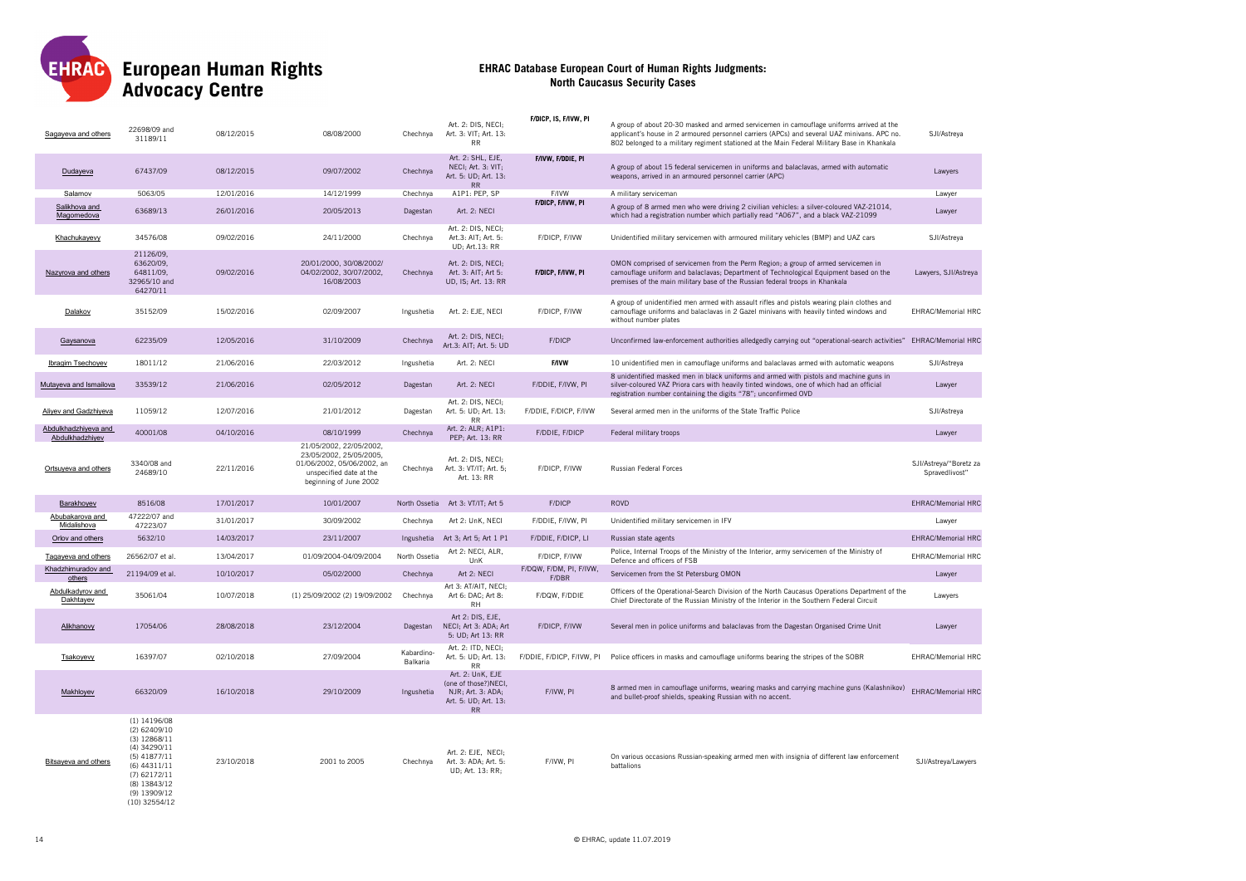

| Sagayeva and others                     | 22698/09 and<br>31189/11                                                                                                                                                  | 08/12/2015 | 08/08/2000                                                                                                                            | Chechnya               | Art. 2: DIS, NECI;<br>Art. 3: VIT; Art. 13:<br><b>RR</b>                                    | F/DICP, IS, F/IVW, PI     | A group of about 20-30 masked and armed servicemen in camouflage uniforms arrived at the<br>applicant's house in 2 armoured personnel carriers (APCs) and several UAZ minivans. APC no.<br>802 belonged to a military regiment stationed at the Main Federal Military Base in Khankala | SJI/Astreya                              |
|-----------------------------------------|---------------------------------------------------------------------------------------------------------------------------------------------------------------------------|------------|---------------------------------------------------------------------------------------------------------------------------------------|------------------------|---------------------------------------------------------------------------------------------|---------------------------|----------------------------------------------------------------------------------------------------------------------------------------------------------------------------------------------------------------------------------------------------------------------------------------|------------------------------------------|
| Dudayeva                                | 67437/09                                                                                                                                                                  | 08/12/2015 | 09/07/2002                                                                                                                            | Chechnya               | Art. 2: SHL, EJE,<br>NECI; Art. 3: VIT;<br>Art. 5: UD; Art. 13:<br><b>RR</b>                | F/IVW, F/DDIE, PI         | A group of about 15 federal servicemen in uniforms and balaclavas, armed with automatic<br>weapons, arrived in an armoured personnel carrier (APC)                                                                                                                                     | Lawyers                                  |
| Salamov                                 | 5063/05                                                                                                                                                                   | 12/01/2016 | 14/12/1999                                                                                                                            | Chechnya               | A1P1: PEP, SP                                                                               | F/IVW                     | A military serviceman                                                                                                                                                                                                                                                                  | Lawver                                   |
| Salikhova and<br>Magomedova             | 63689/13                                                                                                                                                                  | 26/01/2016 | 20/05/2013                                                                                                                            | Dagestan               | Art. 2: NECI                                                                                | F/DICP, F/IVW, PI         | A group of 8 armed men who were driving 2 civilian vehicles: a silver-coloured VAZ-21014,<br>which had a registration number which partially read "A067", and a black VAZ-21099                                                                                                        | Lawyer                                   |
| Khachukayevy                            | 34576/08                                                                                                                                                                  | 09/02/2016 | 24/11/2000                                                                                                                            | Chechnya               | Art. 2: DIS, NECI;<br>Art.3: AIT; Art. 5:<br>UD; Art.13: RR                                 | F/DICP, F/IVW             | Unidentified military servicemen with armoured military vehicles (BMP) and UAZ cars                                                                                                                                                                                                    | SJI/Astreya                              |
| Nazyrova and others                     | 21126/09,<br>63620/09,<br>64811/09,<br>32965/10 and<br>64270/11                                                                                                           | 09/02/2016 | 20/01/2000, 30/08/2002/<br>04/02/2002, 30/07/2002,<br>16/08/2003                                                                      | Chechnya               | Art. 2: DIS, NECI;<br>Art. 3: AIT; Art 5:<br>UD, IS; Art. 13: RR                            | F/DICP, F/IVW, PI         | OMON comprised of servicemen from the Perm Region; a group of armed servicemen in<br>camouflage uniform and balaclavas; Department of Technological Equipment based on the<br>premises of the main military base of the Russian federal troops in Khankala                             | Lawyers, SJI/Astreya                     |
| Dalakov                                 | 35152/09                                                                                                                                                                  | 15/02/2016 | 02/09/2007                                                                                                                            | Ingushetia             | Art. 2: EJE, NECI                                                                           | F/DICP, F/IVW             | A group of unidentified men armed with assault rifles and pistols wearing plain clothes and<br>camouflage uniforms and balaclavas in 2 Gazel minivans with heavily tinted windows and<br>without number plates                                                                         | <b>EHRAC/Memorial HRC</b>                |
| Gaysanova                               | 62235/09                                                                                                                                                                  | 12/05/2016 | 31/10/2009                                                                                                                            | Chechnya               | Art. 2: DIS, NECI;<br>Art.3: AIT; Art. 5: UD                                                | F/DICP                    | Unconfirmed law-enforcement authorities alledgedly carrying out "operational-search activities" EHRAC/Memorial HRC                                                                                                                                                                     |                                          |
| Ibragim Tsechoyev                       | 18011/12                                                                                                                                                                  | 21/06/2016 | 22/03/2012                                                                                                                            | Ingushetia             | Art. 2: NECI                                                                                | <b>F/IVW</b>              | 10 unidentified men in camouflage uniforms and balaclavas armed with automatic weapons                                                                                                                                                                                                 | SJI/Astreya                              |
| Mutayeva and Ismailova                  | 33539/12                                                                                                                                                                  | 21/06/2016 | 02/05/2012                                                                                                                            | Dagestan               | Art. 2: NECI                                                                                | F/DDIE, F/IVW, PI         | 8 unidentified masked men in black uniforms and armed with pistols and machine guns in<br>silver-coloured VAZ Priora cars with heavily tinted windows, one of which had an official<br>registration number containing the digits "78"; unconfirmed OVD                                 | Lawver                                   |
| Aliyev and Gadzhiyeva                   | 11059/12                                                                                                                                                                  | 12/07/2016 | 21/01/2012                                                                                                                            | Dagestan               | Art. 2: DIS, NECI;<br>Art. 5: UD; Art. 13:<br><b>RR</b>                                     | F/DDIE, F/DICP, F/IVW     | Several armed men in the uniforms of the State Traffic Police                                                                                                                                                                                                                          | SJI/Astreya                              |
| Abdulkhadzhiyeva and<br>Abdulkhadzhiyev | 40001/08                                                                                                                                                                  | 04/10/2016 | 08/10/1999                                                                                                                            | Chechnya               | Art. 2: ALR; A1P1:<br>PEP; Art. 13: RR                                                      | F/DDIE, F/DICP            | Federal military troops                                                                                                                                                                                                                                                                | Lawyer                                   |
| Ortsuyeva and others                    | 3340/08 and<br>24689/10                                                                                                                                                   | 22/11/2016 | 21/05/2002, 22/05/2002,<br>23/05/2002, 25/05/2005,<br>01/06/2002, 05/06/2002, an<br>unspecified date at the<br>beginning of June 2002 | Chechnya               | Art. 2: DIS, NECI;<br>Art. 3: VT/IT; Art. 5;<br>Art. 13: RR                                 | F/DICP, F/IVW             | Russian Federal Forces                                                                                                                                                                                                                                                                 | SJI/Astreya/"Boretz za<br>Spravedlivost" |
| Barakhoyev                              | 8516/08                                                                                                                                                                   | 17/01/2017 | 10/01/2007                                                                                                                            | North Ossetia          | Art 3: VT/IT; Art 5                                                                         | F/DICP                    | ROVD                                                                                                                                                                                                                                                                                   | <b>EHRAC/Memorial HRC</b>                |
| Abubakarova and<br>Midalishova          | 47222/07 and<br>47223/07                                                                                                                                                  | 31/01/2017 | 30/09/2002                                                                                                                            | Chechnya               | Art 2: UnK, NECI                                                                            | F/DDIE, F/IVW, PI         | Unidentified military servicemen in IFV                                                                                                                                                                                                                                                | Lawyer                                   |
| Orlov and others                        | 5632/10                                                                                                                                                                   | 14/03/2017 | 23/11/2007                                                                                                                            |                        | Ingushetia Art 3; Art 5; Art 1 P1                                                           | F/DDIE, F/DICP, LI        | Russian state agents                                                                                                                                                                                                                                                                   | <b>EHRAC/Memorial HRC</b>                |
| Tagayeva and others                     | 26562/07 et al.                                                                                                                                                           | 13/04/2017 | 01/09/2004-04/09/2004                                                                                                                 | North Ossetia          | Art 2: NECI, ALR,                                                                           | F/DICP, F/IVW             | Police, Internal Troops of the Ministry of the Interior, army servicemen of the Ministry of                                                                                                                                                                                            | EHRAC/Memorial HRC                       |
| Khadzhimuradov and                      | 21194/09 et al.                                                                                                                                                           | 10/10/2017 | 05/02/2000                                                                                                                            | Chechnya               | UnK<br>Art 2: NECI                                                                          | F/DQW, F/DM, PI, F/IVW,   | Defence and officers of FSB<br>Servicemen from the St Petersburg OMON                                                                                                                                                                                                                  | Lawyer                                   |
| others<br>Abdulkadyrov and<br>Dakhtayev | 35061/04                                                                                                                                                                  | 10/07/2018 | (1) 25/09/2002 (2) 19/09/2002                                                                                                         | Chechnya               | Art 3: AT/AIT, NECI;<br>Art 6: DAC; Art 8:                                                  | F/DBR<br>F/DQW, F/DDIE    | Officers of the Operational-Search Division of the North Caucasus Operations Department of the<br>Chief Directorate of the Russian Ministry of the Interior in the Southern Federal Circuit                                                                                            | Lawyers                                  |
| Alikhanovy                              | 17054/06                                                                                                                                                                  | 28/08/2018 | 23/12/2004                                                                                                                            | Dagestan               | <b>RH</b><br>Art 2: DIS, EJE,<br>NECI; Art 3: ADA; Art<br>5: UD; Art 13: RR                 | F/DICP, F/IVW             | Several men in police uniforms and balaclavas from the Dagestan Organised Crime Unit                                                                                                                                                                                                   | Lawyer                                   |
| Tsakoyevy                               | 16397/07                                                                                                                                                                  | 02/10/2018 | 27/09/2004                                                                                                                            | Kabardino-<br>Balkaria | Art. 2: ITD, NECI;<br>Art. 5: UD; Art. 13:<br><b>RR</b>                                     | F/DDIE, F/DICP, F/IVW, PI | Police officers in masks and camouflage uniforms bearing the stripes of the SOBR                                                                                                                                                                                                       | <b>EHRAC/Memorial HRC</b>                |
| Makhloyev                               | 66320/09                                                                                                                                                                  | 16/10/2018 | 29/10/2009                                                                                                                            | Ingushetia             | Art. 2: UnK, EJE<br>(one of those?)NECI,<br>NJR; Art. 3: ADA;<br>Art. 5: UD; Art. 13:<br>RR | F/IVW, PI                 | 8 armed men in camouflage uniforms, wearing masks and carrying machine guns (Kalashnikov)<br>and bullet-proof shields, speaking Russian with no accent.                                                                                                                                | EHRAC/Memorial HRC                       |
| <b>Bitsayeva and others</b>             | $(1)$ 14196/08<br>(2) 62409/10<br>$(3)$ 12868/11<br>(4) 34290/11<br>$(5)$ 41877/11<br>(6) 44311/11<br>$(7)$ 62172/11<br>(8) 13843/12<br>$(9)$ 13909/12<br>$(10)$ 32554/12 | 23/10/2018 | 2001 to 2005                                                                                                                          | Chechnya               | Art. 2: EJE, NECI;<br>Art. 3: ADA; Art. 5:<br>UD; Art. 13: RR;                              | F/IVW, PI                 | On various occasions Russian-speaking armed men with insignia of different law enforcement<br>battalions                                                                                                                                                                               | SJI/Astreya/Lawyers                      |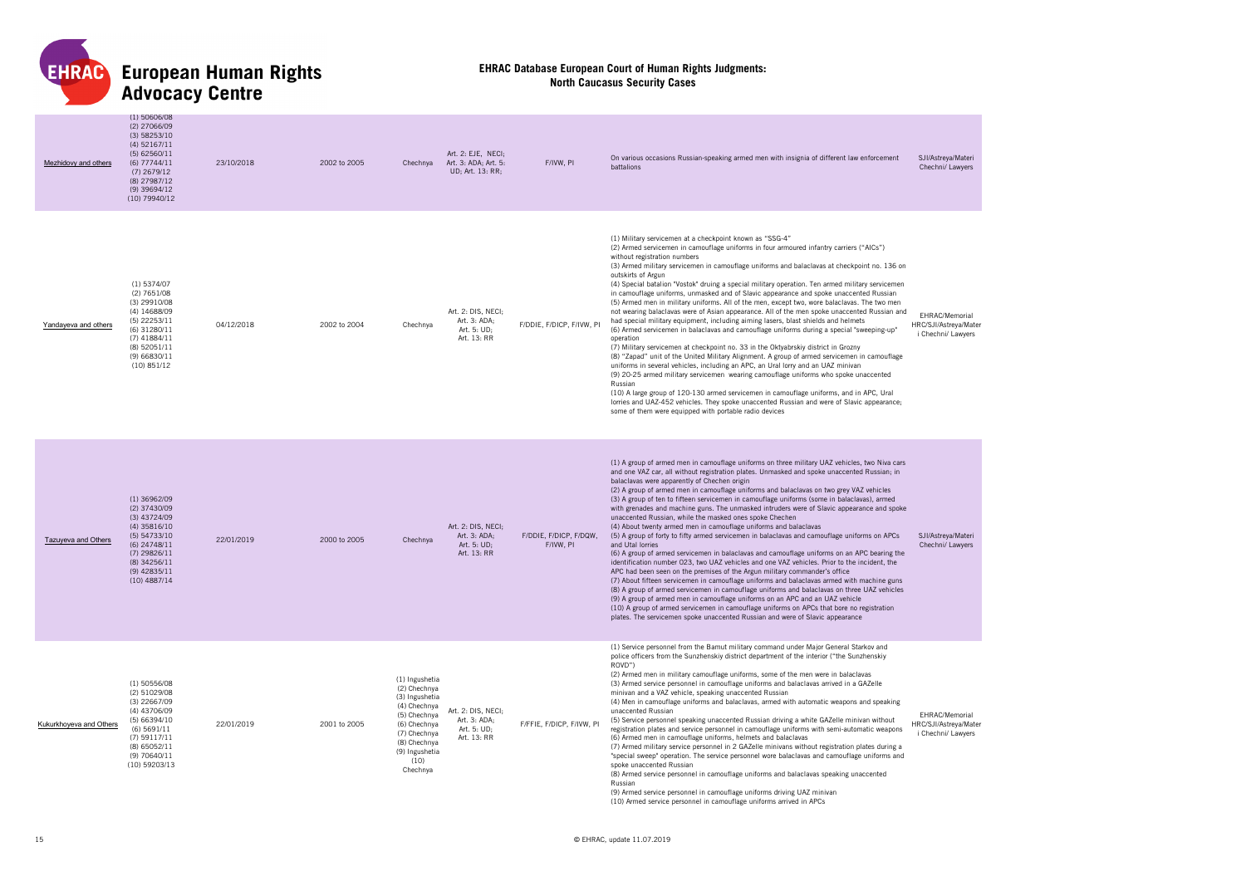

| Mezhidovy and others       | $(1)$ 50606/08<br>(2) 27066/09<br>(3) 58253/10<br>$(4)$ 52167/11<br>$(5)$ 62560/11<br>$(6)$ 77744/11<br>$(7)$ 2679/12<br>(8) 27987/12<br>$(9)$ 39694/12<br>$(10)$ 79940/12     | 23/10/2018 | 2002 to 2005 | Chechnya                                                                                                                                                               | Art. 2: EJE, NECI;<br>Art. 3: ADA; Art. 5:<br>UD; Art. 13: RR;   | F/IVW, PI                           | On various occasions Russian-speaking armed men with insignia of different law enforcement<br>battalions                                                                                                                                                                                                                                                                                                                                                                                                                                                                                                                                                                                                                                                                                                                                                                                                                                                                                                                                                                                                                                                                                                                                                                                                                                                                                                                                                                                                                                | SJI/Astreya/Materi<br>Chechni/ Lawyers                        |
|----------------------------|--------------------------------------------------------------------------------------------------------------------------------------------------------------------------------|------------|--------------|------------------------------------------------------------------------------------------------------------------------------------------------------------------------|------------------------------------------------------------------|-------------------------------------|-----------------------------------------------------------------------------------------------------------------------------------------------------------------------------------------------------------------------------------------------------------------------------------------------------------------------------------------------------------------------------------------------------------------------------------------------------------------------------------------------------------------------------------------------------------------------------------------------------------------------------------------------------------------------------------------------------------------------------------------------------------------------------------------------------------------------------------------------------------------------------------------------------------------------------------------------------------------------------------------------------------------------------------------------------------------------------------------------------------------------------------------------------------------------------------------------------------------------------------------------------------------------------------------------------------------------------------------------------------------------------------------------------------------------------------------------------------------------------------------------------------------------------------------|---------------------------------------------------------------|
| Yandayeva and others       | $(1)$ 5374/07<br>$(2)$ 7651/08<br>$(3)$ 29910/08<br>(4) 14688/09<br>$(5)$ 22253/11<br>$(6)$ 31280/11<br>$(7)$ 41884/11<br>(8) 52051/11<br>(9) 66830/11<br>(10) 851/12          | 04/12/2018 | 2002 to 2004 | Chechnya                                                                                                                                                               | Art. 2: DIS, NECI;<br>Art. 3: ADA:<br>Art. 5: UD;<br>Art. 13: RR | F/DDIE, F/DICP, F/IVW, PI           | (1) Military servicemen at a checkpoint known as "SSG-4"<br>(2) Armed servicemen in camouflage uniforms in four armoured infantry carriers ("AICs")<br>without registration numbers<br>(3) Armed military servicemen in camouflage uniforms and balaclavas at checkpoint no. 136 on<br>outskirts of Argun<br>(4) Special batalion "Vostok" druing a special military operation. Ten armed military servicemen<br>in camouflage uniforms, unmasked and of Slavic appearance and spoke unaccented Russian<br>(5) Armed men in military uniforms. All of the men, except two, wore balaclavas. The two men<br>not wearing balaclavas were of Asian appearance. All of the men spoke unaccented Russian and<br>had special military equipment, including aiming lasers, blast shields and helmets<br>(6) Armed servicemen in balaclavas and camouflage uniforms during a special "sweeping-up"<br>operation<br>(7) Military servicemen at checkpoint no. 33 in the Oktyabrskiy district in Grozny<br>(8) "Zapad" unit of the United Military Alignment. A group of armed servicemen in camouflage<br>uniforms in several vehicles, including an APC, an Ural lorry and an UAZ minivan<br>(9) 20-25 armed military servicemen wearing camouflage uniforms who spoke unaccented<br>Russian<br>(10) A large group of 120-130 armed servicemen in camouflage uniforms, and in APC, Ural<br>lorries and UAZ-452 vehicles. They spoke unaccented Russian and were of Slavic appearance;<br>some of them were equipped with portable radio devices | EHRAC/Memorial<br>HRC/SJI/Astreya/Mater<br>i Chechni/ Lawyers |
| <b>Tazuyeva and Others</b> | $(1)$ 36962/09<br>$(2)$ 37430/09<br>$(3)$ 43724/09<br>$(4)$ 35816/10<br>(5) 54733/10<br>$(6)$ 24748/11<br>$(7)$ 29826/11<br>$(8)$ 34256/11<br>$(9)$ 42835/11<br>$(10)$ 4887/14 | 22/01/2019 | 2000 to 2005 | Chechnya                                                                                                                                                               | Art. 2: DIS, NECI;<br>Art. 3: ADA;<br>Art. 5: UD:<br>Art. 13: RR | F/DDIE, F/DICP, F/DQW,<br>F/IVW, PI | (1) A group of armed men in camouflage uniforms on three military UAZ vehicles, two Niva cars<br>and one VAZ car, all without registration plates. Unmasked and spoke unaccented Russian; in<br>balaclavas were apparently of Chechen origin<br>(2) A group of armed men in camouflage uniforms and balaclavas on two grey VAZ vehicles<br>(3) A group of ten to fifteen servicemen in camouflage uniforms (some in balaclavas), armed<br>with grenades and machine guns. The unmasked intruders were of Slavic appearance and spoke<br>unaccented Russian, while the masked ones spoke Chechen<br>(4) About twenty armed men in camouflage uniforms and balaclavas<br>(5) A group of forty to fifty armed servicemen in balaclavas and camouflage uniforms on APCs<br>and Utal lorries<br>(6) A group of armed servicemen in balaclavas and camouflage uniforms on an APC bearing the<br>identification number 023, two UAZ vehicles and one VAZ vehicles. Prior to the incident, the<br>APC had been seen on the premises of the Argun military commander's office<br>(7) About fifteen servicemen in camouflage uniforms and balaclavas armed with machine guns<br>(8) A group of armed servicemen in camouflage uniforms and balaclavas on three UAZ vehicles<br>(9) A group of armed men in camouflage uniforms on an APC and an UAZ vehicle<br>(10) A group of armed servicemen in camouflage uniforms on APCs that bore no registration<br>plates. The servicemen spoke unaccented Russian and were of Slavic appearance         | SJI/Astreya/Materi<br>Chechni/ Lawyers                        |
| Kukurkhoyeva and Others    | $(1)$ 50556/08<br>(2) 51029/08<br>$(3)$ 22667/09<br>(4) 43706/09<br>(5) 66394/10<br>(6) 5691/11<br>$(7)$ 59117/11<br>$(8)$ 65052/11<br>(9) 70640/11<br>(10) 59203/13           | 22/01/2019 | 2001 to 2005 | (1) Ingushetia<br>(2) Chechnya<br>(3) Ingushetia<br>(4) Chechnya<br>(5) Chechnya<br>(6) Chechnya<br>(7) Chechnya<br>(8) Chechnya<br>(9) Ingushetia<br>(10)<br>Chechnya | Art. 2: DIS. NECI:<br>Art. 3: ADA;<br>Art. 5: UD;<br>Art. 13: RR | F/FFIE, F/DICP, F/IVW, PI           | (1) Service personnel from the Bamut military command under Major General Starkov and<br>police officers from the Sunzhenskiy district department of the interior ("the Sunzhenskiy<br>ROVD")<br>(2) Armed men in military camouflage uniforms, some of the men were in balaclavas<br>(3) Armed service personnel in camouflage uniforms and balaclavas arrived in a GAZelle<br>minivan and a VAZ vehicle, speaking unaccented Russian<br>(4) Men in camouflage uniforms and balaclavas, armed with automatic weapons and speaking<br>unaccented Russian<br>(5) Service personnel speaking unaccented Russian driving a white GAZelle minivan without<br>registration plates and service personnel in camouflage uniforms with semi-automatic weapons<br>(6) Armed men in camouflage uniforms, helmets and balaclavas<br>(7) Armed military service personnel in 2 GAZelle minivans without registration plates during a<br>"special sweep" operation. The service personnel wore balaclavas and camouflage uniforms and<br>spoke unaccented Russian<br>(8) Armed service personnel in camouflage uniforms and balaclavas speaking unaccented<br>Russian<br>(9) Armed service personnel in camouflage uniforms driving UAZ minivan<br>(10) Armed service personnel in camouflage uniforms arrived in APCs                                                                                                                                                                                                                               | EHRAC/Memorial<br>HRC/SJI/Astreya/Mater<br>i Chechni/ Lawyers |